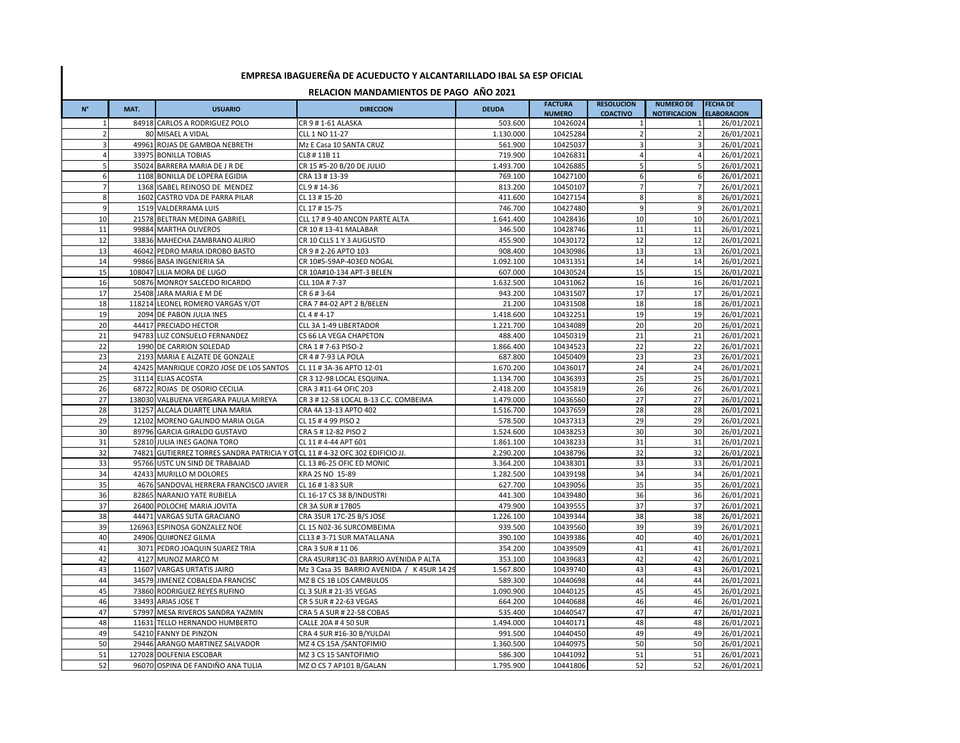## **EMPRESA IBAGUEREÑA DE ACUEDUCTO Y ALCANTARILLADO IBAL SA ESP OFICIAL**

## **RELACION MANDAMIENTOS DE PAGO AÑO 2021**

| $\mathsf{N}^\circ$ | MAT. | <b>USUARIO</b>                                                              | <b>DIRECCION</b>                           | <b>DEUDA</b> | <b>FACTURA</b> | <b>RESOLUCION</b> | <b>NUMERO DE</b>        | <b>FECHA DE</b>    |
|--------------------|------|-----------------------------------------------------------------------------|--------------------------------------------|--------------|----------------|-------------------|-------------------------|--------------------|
|                    |      |                                                                             |                                            |              | <b>NUMERO</b>  | <b>COACTIVO</b>   | <b>NOTIFICACION</b>     | <b>ELABORACION</b> |
| $\mathbf{1}$       |      | 84918 CARLOS A RODRIGUEZ POLO                                               | CR 9 # 1-61 ALASKA                         | 503.600      | 10426024       | $\mathbf{1}$      |                         | 26/01/2021         |
| $\overline{2}$     |      | 80 MISAEL A VIDAL                                                           | CLL 1 NO 11-27                             | 1.130.000    | 10425284       | $\overline{2}$    | $\overline{2}$          | 26/01/2021         |
| 3                  |      | 49961 ROJAS DE GAMBOA NEBRETH                                               | Mz E Casa 10 SANTA CRUZ                    | 561.900      | 10425037       | 3                 | $\overline{\mathbf{3}}$ | 26/01/2021         |
| $\overline{4}$     |      | 33975 BONILLA TOBIAS                                                        | CL8 #11B11                                 | 719.900      | 10426831       | 4                 | $\overline{4}$          | 26/01/2021         |
| 5                  |      | 35024 BARRERA MARIA DE J R DE                                               | CR 15 #5-20 B/20 DE JULIO                  | 1.493.700    | 10426885       | 5                 | 5                       | 26/01/2021         |
| 6                  |      | 1108 BONILLA DE LOPERA EGIDIA                                               | CRA 13 #13-39                              | 769.100      | 10427100       | 6                 | 6                       | 26/01/2021         |
| $\overline{7}$     |      | 1368 ISABEL REINOSO DE MENDEZ                                               | CL 9 # 14-36                               | 813.200      | 10450107       | $\overline{7}$    | $\overline{7}$          | 26/01/2021         |
| 8                  |      | 1602 CASTRO VDA DE PARRA PILAR                                              | CL 13 # 15-20                              | 411.600      | 10427154       | 8                 | 8                       | 26/01/2021         |
| 9                  |      | 1519 VALDERRAMA LUIS                                                        | CL 17 # 15-75                              | 746.700      | 10427480       | 9                 | 9                       | 26/01/2021         |
| 10                 |      | 21578 BELTRAN MEDINA GABRIEL                                                | CLL 17 # 9-40 ANCON PARTE ALTA             | 1.641.400    | 10428436       | 10                | 10                      | 26/01/2021         |
| 11                 |      | 99884 MARTHA OLIVEROS                                                       | CR 10 # 13-41 MALABAR                      | 346.500      | 10428746       | 11                | 11                      | 26/01/2021         |
| 12                 |      | 33836 MAHECHA ZAMBRANO ALIRIO                                               | CR 10 CLLS 1 Y 3 AUGUSTO                   | 455.900      | 10430172       | 12                | 12                      | 26/01/2021         |
| 13                 |      | 46042 PEDRO MARIA IDROBO BASTO                                              | CR 9 # 2-26 APTO 103                       | 908.400      | 10430986       | 13                | 13                      | 26/01/2021         |
| 14                 |      | 99866 BASA INGENIERIA SA                                                    | CR 10#5-59AP-403ED NOGAL                   | 1.092.100    | 10431351       | 14                | 14                      | 26/01/2021         |
| 15                 |      | 108047 LILIA MORA DE LUGO                                                   | CR 10A#10-134 APT-3 BELEN                  | 607.000      | 10430524       | 15                | 15                      | 26/01/2021         |
| 16                 |      | 50876 MONROY SALCEDO RICARDO                                                | CLL 10A # 7-37                             | 1.632.500    | 10431062       | 16                | 16                      | 26/01/2021         |
| 17                 |      | 25408 JARA MARIA E M DE                                                     | CR 6 # 3-64                                | 943.200      | 10431507       | 17                | 17                      | 26/01/2021         |
| 18                 |      | 118214 LEONEL ROMERO VARGAS Y/OT                                            | CRA 7 #4-02 APT 2 B/BELEN                  | 21.200       | 10431508       | 18                | 18                      | 26/01/2021         |
| 19                 |      | 2094 DE PABON JULIA INES                                                    | CL 4 # 4-17                                | 1.418.600    | 10432251       | 19                | 19                      | 26/01/2021         |
| 20                 |      | 44417 PRECIADO HECTOR                                                       | CLL 3A 1-49 LIBERTADOR                     | 1.221.700    | 10434089       | 20                | 20                      | 26/01/2021         |
| 21                 |      | 94783 LUZ CONSUELO FERNANDEZ                                                | CS 66 LA VEGA CHAPETON                     | 488.400      | 10450319       | 21                | 21                      | 26/01/2021         |
| 22                 |      | 1990 DE CARRION SOLEDAD                                                     | CRA 1 # 7-63 PISO-2                        | 1.866.400    | 10434523       | 22                | 22                      | 26/01/2021         |
| 23                 |      | 2193 MARIA E ALZATE DE GONZALE                                              | CR 4 # 7-93 LA POLA                        | 687.800      | 10450409       | 23                | 23                      | 26/01/2021         |
| 24                 |      | 42425 MANRIQUE CORZO JOSE DE LOS SANTOS                                     | CL 11 # 3A-36 APTO 12-01                   | 1.670.200    | 10436017       | 24                | 24                      | 26/01/2021         |
| 25                 |      | 31114 ELIAS ACOSTA                                                          | CR 3 12-98 LOCAL ESQUINA                   | 1.134.700    | 10436393       | 25                | 25                      | 26/01/2021         |
| 26                 |      | 68722 ROJAS DE OSORIO CECILIA                                               | CRA 3 #11-64 OFIC 203                      | 2.418.200    | 10435819       | 26                | 26                      | 26/01/2021         |
| 27                 |      | 138030 VALBUENA VERGARA PAULA MIREYA                                        | CR 3 # 12-58 LOCAL B-13 C.C. COMBEIMA      | 1.479.000    | 10436560       | 27                | 27                      | 26/01/2021         |
| 28                 |      | 31257 ALCALA DUARTE LINA MARIA                                              | CRA 4A 13-13 APTO 402                      | 1.516.700    | 10437659       | 28                | 28                      | 26/01/2021         |
| 29                 |      | 12102 MORENO GALINDO MARIA OLGA                                             | CL 15 # 4 99 PISO 2                        | 578.500      | 10437313       | 29                | 29                      | 26/01/2021         |
| 30                 |      | 89796 GARCIA GIRALDO GUSTAVO                                                | CRA 5 # 12-82 PISO 2                       | 1.524.600    | 10438253       | 30                | 30                      | 26/01/2021         |
| 31                 |      | 52810 JULIA INES GAONA TORO                                                 | CL 11 #4-44 APT 601                        | 1.861.100    | 10438233       | 31                | 31                      | 26/01/2021         |
| 32                 |      | 74821 GUTIERREZ TORRES SANDRA PATRICIA Y OTCL 11 #4-32 OFC 302 EDIFICIO JJ. |                                            | 2.290.200    | 10438796       | 32                | 32                      | 26/01/2021         |
| 33                 |      | 95766 USTC UN SIND DE TRABAJAD                                              | CL 13 #6-25 OFIC ED MONIC                  | 3.364.200    | 10438301       | 33                | 33                      | 26/01/2021         |
| 34                 |      | 42433 MURILLO M DOLORES                                                     | KRA 2S NO 15-89                            | 1.282.500    | 10439198       | 34                | 34                      | 26/01/2021         |
| 35                 |      | 4676 SANDOVAL HERRERA FRANCISCO JAVIER                                      | CL 16 # 1-83 SUR                           | 627.700      | 10439056       | 35                | 35                      | 26/01/2021         |
| 36                 |      | 82865 NARANJO YATE RUBIELA                                                  | CL 16-17 CS 38 B/INDUSTRI                  | 441.300      | 10439480       | 36                | 36                      | 26/01/2021         |
| 37                 |      | 26400 POLOCHE MARIA JOVITA                                                  | CR 3A SUR #17B05                           | 479.900      | 10439555       | 37                | 37                      | 26/01/2021         |
| 38                 |      | 44471 VARGAS SUTA GRACIANO                                                  | CRA 3SUR 17C-25 B/S JOSE                   | 1.226.100    | 10439344       | 38                | 38                      | 26/01/2021         |
| 39                 |      | 126963 ESPINOSA GONZALEZ NOE                                                | CL 15 N02-36 SURCOMBEIMA                   | 939.500      | 10439560       | 39                | 39                      | 26/01/2021         |
| 40                 |      | 24906 QUI#ONEZ GILMA                                                        | CL13 #3-71 SUR MATALLANA                   | 390.100      | 10439386       | 40                | 40                      | 26/01/2021         |
| 41                 |      | 3071 PEDRO JOAQUIN SUAREZ TRIA                                              | CRA 3 SUR # 11 06                          | 354.200      | 10439509       | 41                | 41                      | 26/01/2021         |
| 42                 |      | 4127 MUNOZ MARCO M                                                          | CRA 4SUR#13C-03 BARRIO AVENIDA P ALTA      | 353.100      | 10439683       | 42                | 42                      | 26/01/2021         |
| 43                 |      | 11607 VARGAS URTATIS JAIRO                                                  | Mz 3 Casa 35 BARRIO AVENIDA / K 4SUR 14 29 | 1.567.800    | 10439740       | 43                | 43                      | 26/01/2021         |
| 44                 |      | 34579 JIMENEZ COBALEDA FRANCISC                                             | MZ B CS 1B LOS CAMBULOS                    | 589.300      | 10440698       | 44                | 44                      | 26/01/2021         |
| 45                 |      | 73860 RODRIGUEZ REYES RUFINO                                                | CL 3 SUR # 21-35 VEGAS                     | 1.090.900    | 10440125       | 45                | 45                      | 26/01/2021         |
| 46                 |      | 33493 ARIAS JOSE T                                                          | CR 5 SUR # 22-63 VEGAS                     | 664.200      | 10440688       | 46                | 46                      | 26/01/2021         |
| 47                 |      | 57997 MESA RIVEROS SANDRA YAZMIN                                            | CRA 5 A SUR # 22-58 COBAS                  | 535.400      | 10440547       | 47                | 47                      | 26/01/2021         |
| 48                 |      | 11631 TELLO HERNANDO HUMBERTO                                               | CALLE 20A # 4 50 SUR                       | 1.494.000    | 10440171       | 48                | 48                      | 26/01/2021         |
| 49                 |      | 54210 FANNY DE PINZON                                                       | CRA 4 SUR #16-30 B/YULDAI                  | 991.500      | 10440450       | 49                | 49                      | 26/01/2021         |
| 50                 |      | 29446 ARANGO MARTINEZ SALVADOR                                              | MZ 4 CS 15A /SANTOFIMIO                    | 1.360.500    | 10440975       | 50                | 50                      | 26/01/2021         |
| 51                 |      | 127028 DOLFENIA ESCOBAR                                                     | MZ 3 CS 15 SANTOFIMIO                      | 586.300      | 10441092       | 51                | 51                      | 26/01/2021         |
| 52                 |      | 96070 OSPINA DE FANDIÑO ANA TULIA                                           | MZ O CS 7 AP101 B/GALAN                    | 1.795.900    | 10441806       | 52                | 52                      | 26/01/2021         |
|                    |      |                                                                             |                                            |              |                |                   |                         |                    |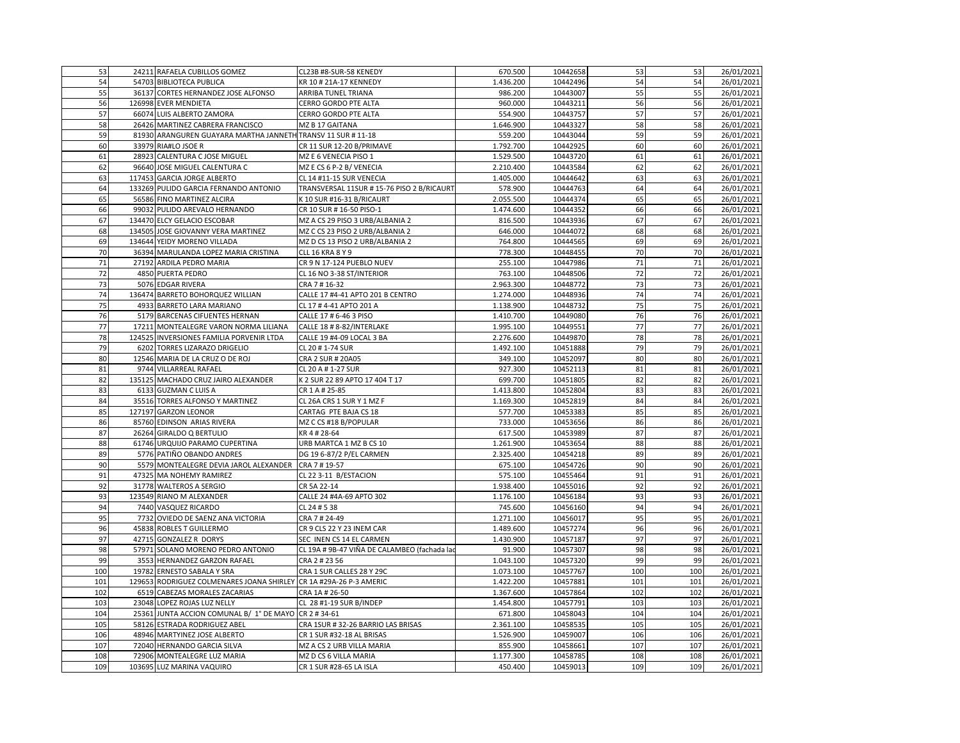| 53  |       | 24211 RAFAELA CUBILLOS GOMEZ                                       | CL23B #8-SUR-58 KENEDY                       | 670.500   | 10442658 | 53  | 53  | 26/01/2021 |
|-----|-------|--------------------------------------------------------------------|----------------------------------------------|-----------|----------|-----|-----|------------|
| 54  |       | 54703 BIBLIOTECA PUBLICA                                           | KR 10 # 21A-17 KENNEDY                       | 1.436.200 | 10442496 | 54  | 54  | 26/01/2021 |
| 55  |       | 36137 CORTES HERNANDEZ JOSE ALFONSO                                | ARRIBA TUNEL TRIANA                          | 986.200   | 10443007 | 55  | 55  | 26/01/2021 |
| 56  |       | 126998 EVER MENDIETA                                               | CERRO GORDO PTE ALTA                         | 960.000   | 10443211 | 56  | 56  | 26/01/2021 |
| 57  |       | 66074 LUIS ALBERTO ZAMORA                                          | CERRO GORDO PTE ALTA                         | 554.900   | 10443757 | 57  | 57  | 26/01/2021 |
| 58  |       | 26426 MARTINEZ CABRERA FRANCISCO                                   | MZ B 17 GAITANA                              | 1.646.900 | 10443327 | 58  | 58  | 26/01/2021 |
| 59  |       | 81930 ARANGUREN GUAYARA MARTHA JANNETH TRANSV 11 SUR #11-18        |                                              | 559.200   | 10443044 | 59  | 59  | 26/01/2021 |
| 60  |       | 33979 RIA#LO JSOE R                                                | CR 11 SUR 12-20 B/PRIMAVE                    | 1.792.700 | 10442925 | 60  | 60  | 26/01/2021 |
| 61  |       | 28923 CALENTURA C JOSE MIGUEL                                      | MZ E 6 VENECIA PISO 1                        | 1.529.500 | 10443720 | 61  | 61  | 26/01/2021 |
| 62  |       | 96640 JOSE MIGUEL CALENTURA C                                      | MZ E CS 6 P-2 B/ VENECIA                     | 2.210.400 | 10443584 | 62  | 62  | 26/01/2021 |
| 63  |       | 117453 GARCIA JORGE ALBERTO                                        | CL 14 #11-15 SUR VENECIA                     | 1.405.000 | 10444642 | 63  | 63  | 26/01/2021 |
| 64  |       | 133269 PULIDO GARCIA FERNANDO ANTONIO                              | TRANSVERSAL 11SUR #15-76 PISO 2 B/RICAURT    | 578.900   | 10444763 | 64  | 64  | 26/01/2021 |
| 65  |       | 56586 FINO MARTINEZ ALCIRA                                         | K 10 SUR #16-31 B/RICAURT                    | 2.055.500 | 10444374 | 65  | 65  | 26/01/2021 |
| 66  |       | 99032 PULIDO AREVALO HERNANDO                                      | CR 10 SUR # 16-50 PISO-1                     | 1.474.600 | 10444352 | 66  | 66  | 26/01/2021 |
| 67  |       | 134470 ELCY GELACIO ESCOBAR                                        | MZ A CS 29 PISO 3 URB/ALBANIA 2              | 816.500   | 10443936 | 67  | 67  | 26/01/2021 |
| 68  |       | 134505 JOSE GIOVANNY VERA MARTINEZ                                 | MZ C CS 23 PISO 2 URB/ALBANIA 2              | 646.000   | 10444072 | 68  | 68  | 26/01/2021 |
| 69  |       | 134644 YEIDY MORENO VILLADA                                        | MZ D CS 13 PISO 2 URB/ALBANIA 2              | 764.800   | 10444565 | 69  | 69  | 26/01/2021 |
| 70  |       | 36394 MARULANDA LOPEZ MARIA CRISTINA                               | <b>CLL 16 KRA 8 Y 9</b>                      | 778.300   | 10448455 | 70  | 70  | 26/01/2021 |
| 71  | 27192 | ARDILA PEDRO MARIA                                                 | CR 9 N 17-124 PUEBLO NUEV                    | 255.100   | 10447986 | 71  | 71  | 26/01/2021 |
| 72  |       | 4850 PUERTA PEDRO                                                  | CL 16 NO 3-38 ST/INTERIOR                    | 763.100   | 10448506 | 72  | 72  | 26/01/2021 |
| 73  |       | 5076 EDGAR RIVERA                                                  | CRA 7 # 16-32                                | 2.963.300 | 10448772 | 73  | 73  | 26/01/2021 |
| 74  |       | 136474 BARRETO BOHORQUEZ WILLIAN                                   | CALLE 17 #4-41 APTO 201 B CENTRO             | 1.274.000 | 10448936 | 74  | 74  | 26/01/2021 |
| 75  |       | 4933 BARRETO LARA MARIANO                                          | CL 17 # 4-41 APTO 201 A                      | 1.138.900 | 10448732 | 75  | 75  | 26/01/2021 |
| 76  |       | 5179 BARCENAS CIFUENTES HERNAN                                     | CALLE 17 # 6-46 3 PISO                       | 1.410.700 | 10449080 | 76  | 76  | 26/01/2021 |
| 77  |       | 17211 MONTEALEGRE VARON NORMA LILIANA                              | CALLE 18 # 8-82/INTERLAKE                    | 1.995.100 | 10449551 | 77  | 77  | 26/01/2021 |
| 78  |       | 124525 INVERSIONES FAMILIA PORVENIR LTDA                           | CALLE 19 #4-09 LOCAL 3 BA                    | 2.276.600 | 10449870 | 78  | 78  | 26/01/2021 |
| 79  |       | 6202 TORRES LIZARAZO DRIGELIO                                      | CL 20 # 1-74 SUR                             | 1.492.100 | 10451888 | 79  | 79  | 26/01/2021 |
| 80  |       | 12546 MARIA DE LA CRUZ O DE ROJ                                    | CRA 2 SUR # 20A05                            | 349.100   | 10452097 | 80  | 80  | 26/01/2021 |
| 81  |       | 9744 VILLARREAL RAFAEL                                             | CL 20 A # 1-27 SUR                           | 927.300   | 10452113 | 81  | 81  | 26/01/2021 |
| 82  |       | 135125 MACHADO CRUZ JAIRO ALEXANDER                                | K 2 SUR 22 89 APTO 17 404 T 17               | 699.700   | 10451805 | 82  | 82  | 26/01/2021 |
| 83  |       | 6133 GUZMAN C LUIS A                                               | CR 1 A # 25-85                               | 1.413.800 | 10452804 | 83  | 83  | 26/01/2021 |
| 84  |       | 35516 TORRES ALFONSO Y MARTINEZ                                    | CL 26A CRS 1 SUR Y 1 MZ F                    | 1.169.300 | 10452819 | 84  | 84  | 26/01/2021 |
| 85  |       | 127197 GARZON LEONOR                                               | CARTAG PTE BAJA CS 18                        | 577.700   | 10453383 | 85  | 85  | 26/01/2021 |
| 86  |       | 85760 EDINSON ARIAS RIVERA                                         | MZ C CS #18 B/POPULAR                        | 733.000   | 10453656 | 86  | 86  | 26/01/2021 |
| 87  |       | 26264 GIRALDO Q BERTULIO                                           | KR 4#28-64                                   | 617.500   | 10453989 | 87  | 87  | 26/01/2021 |
| 88  |       | 61746 URQUIJO PARAMO CUPERTINA                                     | URB MARTCA 1 MZ B CS 10                      | 1.261.900 | 10453654 | 88  | 88  | 26/01/2021 |
| 89  |       | 5776 PATIÑO OBANDO ANDRES                                          | DG 19 6-87/2 P/EL CARMEN                     | 2.325.400 | 10454218 | 89  | 89  | 26/01/2021 |
| 90  |       | 5579 MONTEALEGRE DEVIA JAROL ALEXANDER                             | CRA 7 # 19-57                                | 675.100   | 10454726 | 90  | 90  | 26/01/2021 |
| 91  |       | 47325 MA NOHEMY RAMIREZ                                            | CL 22 3-11 B/ESTACION                        | 575.100   | 10455464 | 91  | 91  | 26/01/2021 |
| 92  |       | 31778 WALTEROS A SERGIO                                            | CR 5A 22-14                                  | 1.938.400 | 10455016 | 92  | 92  | 26/01/2021 |
| 93  |       | 123549 RIANO M ALEXANDER                                           | CALLE 24 #4A-69 APTO 302                     | 1.176.100 | 10456184 | 93  | 93  | 26/01/2021 |
| 94  |       | 7440 VASQUEZ RICARDO                                               | CL 24 # 5 38                                 | 745.600   | 10456160 | 94  | 94  | 26/01/2021 |
| 95  |       | 7732 OVIEDO DE SAENZ ANA VICTORIA                                  | CRA 7 # 24-49                                | 1.271.100 | 10456017 | 95  | 95  | 26/01/2021 |
| 96  |       | 45838 ROBLES T GUILLERMO                                           | CR 9 CLS 22 Y 23 INEM CAR                    | 1.489.600 | 10457274 | 96  | 96  | 26/01/2021 |
| 97  |       | 42715 GONZALEZ R DORYS                                             | SEC INEN CS 14 EL CARMEN                     | 1.430.900 | 10457187 | 97  | 97  | 26/01/2021 |
| 98  |       | 57971 SOLANO MORENO PEDRO ANTONIO                                  | CL 19A # 9B-47 VIÑA DE CALAMBEO (fachada lao | 91.900    | 10457307 | 98  | 98  | 26/01/2021 |
| 99  |       | 3553 HERNANDEZ GARZON RAFAEL                                       | CRA 2 # 23 56                                | 1.043.100 | 10457320 | 99  | 99  | 26/01/2021 |
| 100 | 19782 | ERNESTO SABALA Y SRA                                               | CRA 1 SUR CALLES 28 Y 29C                    | 1.073.100 | 10457767 | 100 | 100 | 26/01/2021 |
| 101 |       | 129653 RODRIGUEZ COLMENARES JOANA SHIRLEY CR 1A #29A-26 P-3 AMERIC |                                              | 1.422.200 | 10457881 | 101 | 101 | 26/01/2021 |
| 102 | 6519  | CABEZAS MORALES ZACARIAS                                           | CRA 1A # 26-50                               | 1.367.600 | 10457864 | 102 | 102 | 26/01/2021 |
| 103 |       | 23048 LOPEZ ROJAS LUZ NELLY                                        | CL 28 #1-19 SUR B/INDEP                      | 1.454.800 | 10457791 | 103 | 103 | 26/01/2021 |
| 104 |       | 25361 JUNTA ACCION COMUNAL B/ 1° DE MAYO CR 2 # 34-61              |                                              | 671.800   | 10458043 | 104 | 104 | 26/01/2021 |
| 105 |       | 58126 ESTRADA RODRIGUEZ ABEL                                       | CRA 1SUR #32-26 BARRIO LAS BRISAS            | 2.361.100 | 10458535 | 105 | 105 | 26/01/2021 |
| 106 |       | 48946 MARTYINEZ JOSE ALBERTO                                       | CR 1 SUR #32-18 AL BRISAS                    | 1.526.900 | 10459007 | 106 | 106 | 26/01/2021 |
| 107 |       | 72040 HERNANDO GARCIA SILVA                                        | MZ A CS 2 URB VILLA MARIA                    | 855.900   | 10458661 | 107 | 107 | 26/01/2021 |
| 108 |       | 72906 MONTEALEGRE LUZ MARIA                                        | MZ D CS 6 VILLA MARIA                        | 1.177.300 | 10458785 | 108 | 108 | 26/01/2021 |
| 109 |       | 103695 LUZ MARINA VAQUIRO                                          | CR 1 SUR #28-65 LA ISLA                      | 450.400   | 10459013 | 109 | 109 | 26/01/2021 |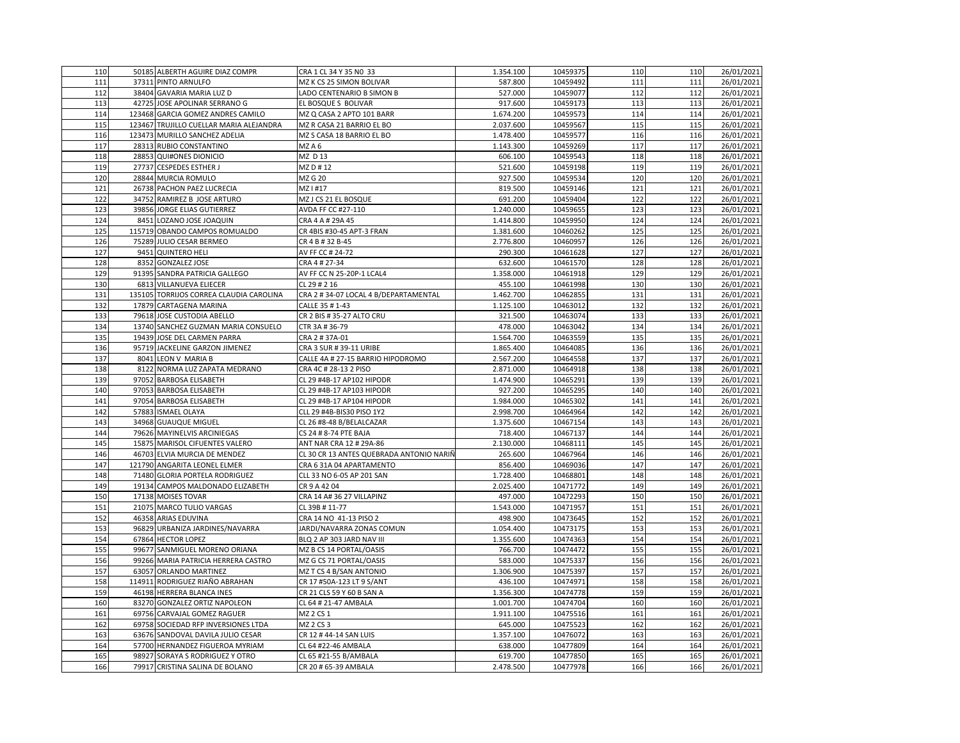| 110 | 50185 ALBERTH AGUIRE DIAZ COMPR         | CRA 1 CL 34 Y 35 NO 33                   | 1.354.100 | 10459375 | 110 | 110 | 26/01/2021 |
|-----|-----------------------------------------|------------------------------------------|-----------|----------|-----|-----|------------|
| 111 | 37311 PINTO ARNULFO                     | MZ K CS 25 SIMON BOLIVAR                 | 587.800   | 10459492 | 111 | 111 | 26/01/2021 |
| 112 | 38404 GAVARIA MARIA LUZ D               | LADO CENTENARIO B SIMON B                | 527.000   | 10459077 | 112 | 112 | 26/01/2021 |
| 113 | 42725 JOSE APOLINAR SERRANO G           | EL BOSQUE S BOLIVAR                      | 917.600   | 10459173 | 113 | 113 | 26/01/2021 |
| 114 | 123468 GARCIA GOMEZ ANDRES CAMILO       | MZ Q CASA 2 APTO 101 BARR                | 1.674.200 | 10459573 | 114 | 114 | 26/01/2021 |
| 115 | 123467 TRUJILLO CUELLAR MARIA ALEJANDRA | MZ R CASA 21 BARRIO EL BO                | 2.037.600 | 10459567 | 115 | 115 | 26/01/2021 |
| 116 | 123473 MURILLO SANCHEZ ADELIA           | MZ S CASA 18 BARRIO EL BO                | 1.478.400 | 10459577 | 116 | 116 | 26/01/2021 |
| 117 | 28313 RUBIO CONSTANTINO                 | MZA6                                     | 1.143.300 | 10459269 | 117 | 117 | 26/01/2021 |
| 118 | 28853 QUI#ONES DIONICIO                 | MZ D 13                                  | 606.100   | 10459543 | 118 | 118 | 26/01/2021 |
| 119 | 27737 CESPEDES ESTHER J                 | MZ D #12                                 | 521.600   | 10459198 | 119 | 119 | 26/01/2021 |
| 120 | 28844 MURCIA ROMULO                     | MZ G 20                                  | 927.500   | 10459534 | 120 | 120 | 26/01/2021 |
| 121 | 26738 PACHON PAEZ LUCRECIA              | MZ1#17                                   | 819.500   | 10459146 | 121 | 121 | 26/01/2021 |
| 122 | 34752 RAMIREZ B JOSE ARTURO             | MZ J CS 21 EL BOSQUE                     | 691.200   | 10459404 | 122 | 122 | 26/01/2021 |
| 123 | 39856 JORGE ELIAS GUTIERREZ             | AVDA FF CC #27-110                       | 1.240.000 | 10459655 | 123 | 123 | 26/01/2021 |
| 124 | 8451 LOZANO JOSE JOAQUIN                | CRA 4 A # 29A 45                         | 1.414.800 | 10459950 | 124 | 124 | 26/01/2021 |
| 125 | 115719 OBANDO CAMPOS ROMUALDO           | CR 4BIS #30-45 APT-3 FRAN                | 1.381.600 | 10460262 | 125 | 125 | 26/01/2021 |
| 126 | 75289 JULIO CESAR BERMEO                | CR 4 B # 32 B-45                         | 2.776.800 | 10460957 | 126 | 126 | 26/01/2021 |
| 127 | 9451 QUINTERO HELI                      | AV FF CC # 24-72                         | 290.300   | 10461628 | 127 | 127 | 26/01/2021 |
| 128 | 8352 GONZALEZ JOSE                      | CRA 4 # 27-34                            | 632.600   | 10461570 | 128 | 128 | 26/01/2021 |
| 129 | 91395 SANDRA PATRICIA GALLEGO           | AV FF CC N 25-20P-1 LCAL4                | 1.358.000 | 10461918 | 129 | 129 | 26/01/2021 |
| 130 | 6813 VILLANUEVA ELIECER                 | CL 29 # 2 16                             | 455.100   | 10461998 | 130 | 130 | 26/01/2021 |
| 131 | 135105 TORRIJOS CORREA CLAUDIA CAROLINA | CRA 2 #34-07 LOCAL 4 B/DEPARTAMENTAL     | 1.462.700 | 10462855 | 131 | 131 | 26/01/2021 |
| 132 | 17879 CARTAGENA MARINA                  | CALLE 35 # 1-43                          | 1.125.100 | 10463012 | 132 | 132 | 26/01/2021 |
| 133 | 79618 JOSE CUSTODIA ABELLO              | CR 2 BIS # 35-27 ALTO CRU                | 321.500   | 10463074 | 133 | 133 | 26/01/2021 |
| 134 | 13740 SANCHEZ GUZMAN MARIA CONSUELO     | CTR 3A # 36-79                           | 478.000   | 10463042 | 134 | 134 | 26/01/2021 |
| 135 | 19439 JOSE DEL CARMEN PARRA             | CRA 2 # 37A-01                           | 1.564.700 | 10463559 | 135 | 135 | 26/01/2021 |
| 136 | 95719 JACKELINE GARZON JIMENEZ          | CRA 3 SUR # 39-11 URIBE                  | 1.865.400 | 10464085 | 136 | 136 | 26/01/2021 |
| 137 | 8041 LEON V MARIA B                     | CALLE 4A # 27-15 BARRIO HIPODROMO        | 2.567.200 | 10464558 | 137 | 137 | 26/01/2021 |
| 138 | 8122 NORMA LUZ ZAPATA MEDRANO           | CRA 4C # 28-13 2 PISO                    | 2.871.000 | 10464918 | 138 | 138 | 26/01/2021 |
| 139 | 97052 BARBOSA ELISABETH                 | CL 29 #4B-17 AP102 HIPODR                | 1.474.900 | 10465291 | 139 | 139 | 26/01/2021 |
| 140 | 97053 BARBOSA ELISABETH                 | CL 29 #4B-17 AP103 HIPODR                | 927.200   | 10465295 | 140 | 140 | 26/01/2021 |
| 141 | 97054 BARBOSA ELISABETH                 | CL 29 #4B-17 AP104 HIPODR                | 1.984.000 | 10465302 | 141 | 141 | 26/01/2021 |
| 142 | 57883 ISMAEL OLAYA                      | CLL 29 #4B-BIS30 PISO 1Y2                | 2.998.700 | 10464964 | 142 | 142 | 26/01/2021 |
| 143 | 34968 GUAUQUE MIGUEL                    | CL 26 #8-48 B/BELALCAZAR                 | 1.375.600 | 10467154 | 143 | 143 | 26/01/2021 |
| 144 | 79626 MAYINELVIS ARCINIEGAS             | CS 24 # 8-74 PTE BAJA                    | 718.400   | 10467137 | 144 | 144 | 26/01/2021 |
| 145 | 15875 MARISOL CIFUENTES VALERO          | ANT NAR CRA 12 # 29A-86                  | 2.130.000 | 10468111 | 145 | 145 | 26/01/2021 |
| 146 | 46703 ELVIA MURCIA DE MENDEZ            | CL 30 CR 13 ANTES QUEBRADA ANTONIO NARIÑ | 265.600   | 10467964 | 146 | 146 | 26/01/2021 |
| 147 | 121790 ANGARITA LEONEL ELMER            | CRA 6 31A 04 APARTAMENTO                 | 856.400   | 10469036 | 147 | 147 | 26/01/2021 |
| 148 | 71480 GLORIA PORTELA RODRIGUEZ          | CLL 33 NO 6-05 AP 201 SAN                | 1.728.400 | 10468801 | 148 | 148 | 26/01/2021 |
| 149 | 19134 CAMPOS MALDONADO ELIZABETH        | CR 9 A 42 04                             | 2.025.400 | 10471772 | 149 | 149 | 26/01/2021 |
| 150 | 17138 MOISES TOVAR                      | CRA 14 A# 36 27 VILLAPINZ                | 497.000   | 10472293 | 150 | 150 | 26/01/2021 |
| 151 | 21075 MARCO TULIO VARGAS                | CL 39B #11-77                            | 1.543.000 | 10471957 | 151 | 151 | 26/01/2021 |
| 152 | 46358 ARIAS EDUVINA                     | CRA 14 NO 41-13 PISO 2                   | 498.900   | 10473645 | 152 | 152 | 26/01/2021 |
| 153 | 96829 URBANIZA JARDINES/NAVARRA         | JARDI/NAVARRA ZONAS COMUN                | 1.054.400 | 10473175 | 153 | 153 | 26/01/2021 |
| 154 | 67864 HECTOR LOPEZ                      | BLQ 2 AP 303 JARD NAV III                | 1.355.600 | 10474363 | 154 | 154 | 26/01/2021 |
| 155 | 99677 SANMIGUEL MORENO ORIANA           | MZ B CS 14 PORTAL/OASIS                  | 766.700   | 10474472 | 155 | 155 | 26/01/2021 |
| 156 | 99266 MARIA PATRICIA HERRERA CASTRO     | MZ G CS 71 PORTAL/OASIS                  | 583.000   | 10475337 | 156 | 156 | 26/01/2021 |
| 157 | 63057 ORLANDO MARTINEZ                  | MZ T CS 4 B/SAN ANTONIO                  | 1.306.900 | 10475397 | 157 | 157 | 26/01/2021 |
| 158 | 114911 RODRIGUEZ RIAÑO ABRAHAN          | CR 17 #50A-123 LT 9 S/ANT                | 436.100   | 10474971 | 158 | 158 | 26/01/2021 |
| 159 | 46198 HERRERA BLANCA INES               | CR 21 CLS 59 Y 60 B SAN A                | 1.356.300 | 10474778 | 159 | 159 | 26/01/2021 |
| 160 | 83270 GONZALEZ ORTIZ NAPOLEON           | CL 64 # 21-47 AMBALA                     | 1.001.700 | 10474704 | 160 | 160 | 26/01/2021 |
| 161 | 69756 CARVAJAL GOMEZ RAGUER             | MZ 2 CS 1                                | 1.911.100 | 10475516 | 161 | 161 | 26/01/2021 |
| 162 | 69758 SOCIEDAD RFP INVERSIONES LTDA     | MZ 2 CS 3                                | 645.000   | 10475523 | 162 | 162 | 26/01/2021 |
| 163 | 63676 SANDOVAL DAVILA JULIO CESAR       | CR 12 # 44-14 SAN LUIS                   | 1.357.100 | 10476072 | 163 | 163 | 26/01/2021 |
| 164 | 57700 HERNANDEZ FIGUEROA MYRIAM         | CL 64 #22-46 AMBALA                      | 638.000   | 10477809 | 164 | 164 | 26/01/2021 |
| 165 | 98927 SORAYA S RODRIGUEZ Y OTRO         | CL 65 #21-55 B/AMBALA                    | 619.700   | 10477850 | 165 | 165 | 26/01/2021 |
| 166 | 79917 CRISTINA SALINA DE BOLANO         | CR 20 # 65-39 AMBALA                     | 2.478.500 | 10477978 | 166 | 166 | 26/01/2021 |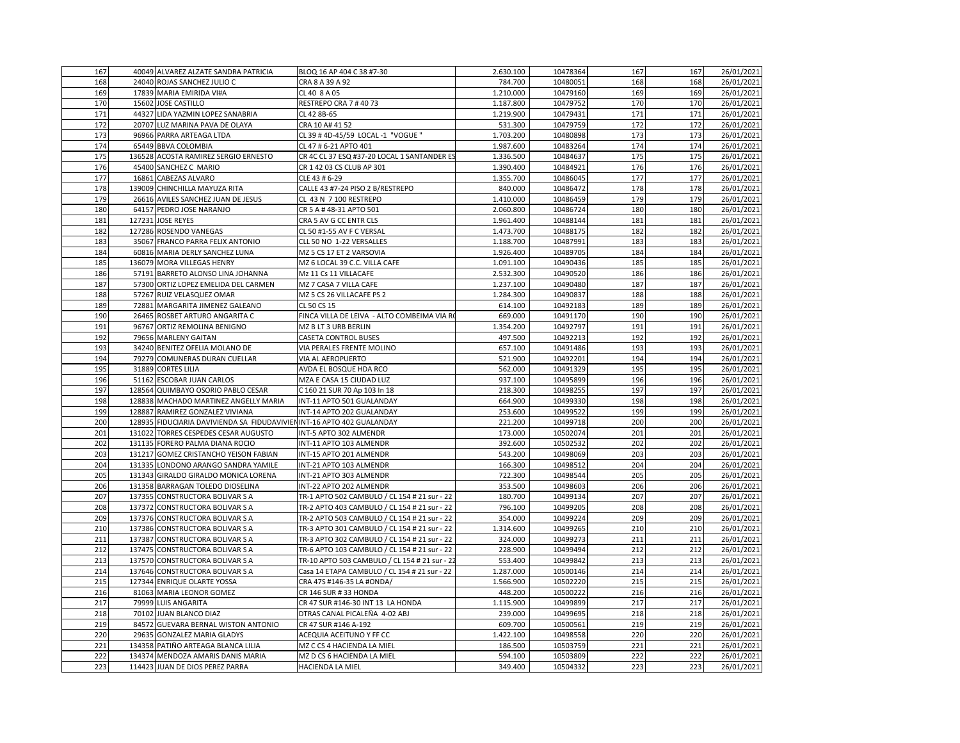| 167 | 40049 ALVAREZ ALZATE SANDRA PATRICIA                                  | BLOQ 16 AP 404 C 38 #7-30                     | 2.630.100 | 10478364 | 167 | 167        | 26/01/2021 |
|-----|-----------------------------------------------------------------------|-----------------------------------------------|-----------|----------|-----|------------|------------|
| 168 | 24040 ROJAS SANCHEZ JULIO C                                           | CRA 8 A 39 A 92                               | 784.700   | 10480051 | 168 | 168        | 26/01/2021 |
| 169 | 17839 MARIA EMIRIDA VI#A                                              | CL 40 8 A 05                                  | 1.210.000 | 10479160 | 169 | 169        | 26/01/2021 |
| 170 | 15602 JOSE CASTILLO                                                   | RESTREPO CRA 7 #4073                          | 1.187.800 | 10479752 | 170 | 170        | 26/01/2021 |
| 171 | 44327 LIDA YAZMIN LOPEZ SANABRIA                                      | CL 42 8B-65                                   | 1.219.900 | 10479431 | 171 | 171        | 26/01/2021 |
| 172 | 20707 LUZ MARINA PAVA DE OLAYA                                        | CRA 10 A# 41 52                               | 531.300   | 10479759 | 172 | 172        | 26/01/2021 |
| 173 | 96966 PARRA ARTEAGA LTDA                                              | CL 39 # 4D-45/59 LOCAL -1 "VOGUE "            | 1.703.200 | 10480898 | 173 | 173        | 26/01/2021 |
| 174 | 65449 BBVA COLOMBIA                                                   | CL 47 # 6-21 APTO 401                         | 1.987.600 | 10483264 | 174 | 174        | 26/01/2021 |
| 175 | 136528 ACOSTA RAMIREZ SERGIO ERNESTO                                  | CR 4C CL 37 ESQ #37-20 LOCAL 1 SANTANDER E    |           | 10484637 | 175 | 175        | 26/01/2021 |
| 176 |                                                                       | CR 1 42 03 CS CLUB AP 301                     | 1.336.500 |          | 176 | 176        | 26/01/2021 |
| 177 | 45400 SANCHEZ C MARIO                                                 |                                               | 1.390.400 | 10484921 | 177 | 177        | 26/01/2021 |
|     | 16861 CABEZAS ALVARO                                                  | CLE 43 # 6-29                                 | 1.355.700 | 10486045 |     |            |            |
| 178 | 139009 CHINCHILLA MAYUZA RITA                                         | CALLE 43 #7-24 PISO 2 B/RESTREPO              | 840.000   | 10486472 | 178 | 178        | 26/01/2021 |
| 179 | 26616 AVILES SANCHEZ JUAN DE JESUS                                    | CL 43 N 7 100 RESTREPO                        | 1.410.000 | 10486459 | 179 | 179<br>180 | 26/01/2021 |
| 180 | 64157 PEDRO JOSE NARANJO                                              | CR 5 A # 48-31 APTO 501                       | 2.060.800 | 10486724 | 180 |            | 26/01/2021 |
| 181 | 127231 JOSE REYES                                                     | CRA 5 AV G CC ENTR CLS                        | 1.961.400 | 10488144 | 181 | 181        | 26/01/2021 |
| 182 | 127286 ROSENDO VANEGAS                                                | CL 50 #1-55 AV F C VERSAL                     | 1.473.700 | 10488175 | 182 | 182        | 26/01/2021 |
| 183 | 35067 FRANCO PARRA FELIX ANTONIO                                      | CLL 50 NO 1-22 VERSALLES                      | 1.188.700 | 10487991 | 183 | 183        | 26/01/2021 |
| 184 | 60816 MARIA DERLY SANCHEZ LUNA                                        | MZ 5 CS 17 ET 2 VARSOVIA                      | 1.926.400 | 10489705 | 184 | 184        | 26/01/2021 |
| 185 | 136079 MORA VILLEGAS HENRY                                            | MZ 6 LOCAL 39 C.C. VILLA CAFE                 | 1.091.100 | 10490436 | 185 | 185        | 26/01/2021 |
| 186 | 57191 BARRETO ALONSO LINA JOHANNA                                     | Mz 11 Cs 11 VILLACAFE                         | 2.532.300 | 10490520 | 186 | 186        | 26/01/2021 |
| 187 | 57300 ORTIZ LOPEZ EMELIDA DEL CARMEN                                  | MZ 7 CASA 7 VILLA CAFE                        | 1.237.100 | 10490480 | 187 | 187        | 26/01/2021 |
| 188 | 57267 RUIZ VELASQUEZ OMAR                                             | MZ 5 CS 26 VILLACAFE PS 2                     | 1.284.300 | 10490837 | 188 | 188        | 26/01/2021 |
| 189 | 72881 MARGARITA JIMENEZ GALEANO                                       | CL 50 CS 15                                   | 614.100   | 10492183 | 189 | 189        | 26/01/2021 |
| 190 | 26465 ROSBET ARTURO ANGARITA C                                        | FINCA VILLA DE LEIVA - ALTO COMBEIMA VIA RO   | 669.000   | 10491170 | 190 | 190        | 26/01/2021 |
| 191 | 96767 ORTIZ REMOLINA BENIGNO                                          | MZ B LT 3 URB BERLIN                          | 1.354.200 | 10492797 | 191 | 191        | 26/01/2021 |
| 192 | 79656 MARLENY GAITAN                                                  | <b>CASETA CONTROL BUSES</b>                   | 497.500   | 10492213 | 192 | 192        | 26/01/2021 |
| 193 | 34240 BENITEZ OFELIA MOLANO DE                                        | VIA PERALES FRENTE MOLINO                     | 657.100   | 10491486 | 193 | 193        | 26/01/2021 |
| 194 | 79279 COMUNERAS DURAN CUELLAR                                         | VIA AL AEROPUERTO                             | 521.900   | 10492201 | 194 | 194        | 26/01/2021 |
| 195 | 31889 CORTES LILIA                                                    | AVDA EL BOSQUE HDA RCO                        | 562.000   | 10491329 | 195 | 195        | 26/01/2021 |
| 196 | 51162 ESCOBAR JUAN CARLOS                                             | MZA E CASA 15 CIUDAD LUZ                      | 937.100   | 10495899 | 196 | 196        | 26/01/2021 |
| 197 | 128564 QUIMBAYO OSORIO PABLO CESAR                                    | C 160 21 SUR 70 Ap 103 In 18                  | 218.300   | 10498255 | 197 | 197        | 26/01/2021 |
| 198 | 128838 MACHADO MARTINEZ ANGELLY MARIA                                 | INT-11 APTO 501 GUALANDAY                     | 664.900   | 10499330 | 198 | 198        | 26/01/2021 |
| 199 | 128887 RAMIREZ GONZALEZ VIVIANA                                       | INT-14 APTO 202 GUALANDAY                     | 253.600   | 10499522 | 199 | 199        | 26/01/2021 |
| 200 | 128935 FIDUCIARIA DAVIVIENDA SA FIDUDAVIVIENINT-16 APTO 402 GUALANDAY |                                               | 221.200   | 10499718 | 200 | 200        | 26/01/2021 |
| 201 | 131022 TORRES CESPEDES CESAR AUGUSTO                                  | INT-5 APTO 302 ALMENDR                        | 173.000   | 10502074 | 201 | 201        | 26/01/2021 |
| 202 | 131135 FORERO PALMA DIANA ROCIO                                       | INT-11 APTO 103 ALMENDR                       | 392.600   | 10502532 | 202 | 202        | 26/01/2021 |
| 203 | 131217 GOMEZ CRISTANCHO YEISON FABIAN                                 | INT-15 APTO 201 ALMENDR                       | 543.200   | 10498069 | 203 | 203        | 26/01/2021 |
| 204 | 131335 LONDONO ARANGO SANDRA YAMILE                                   | INT-21 APTO 103 ALMENDR                       | 166.300   | 10498512 | 204 | 204        | 26/01/2021 |
| 205 | 131343 GIRALDO GIRALDO MONICA LORENA                                  | INT-21 APTO 303 ALMENDR                       | 722.300   | 10498544 | 205 | 205        | 26/01/2021 |
| 206 | 131358 BARRAGAN TOLEDO DIOSELINA                                      | INT-22 APTO 202 ALMENDR                       | 353.500   | 10498603 | 206 | 206        | 26/01/2021 |
| 207 | 137355 CONSTRUCTORA BOLIVAR S A                                       | TR-1 APTO 502 CAMBULO / CL 154 # 21 sur - 22  | 180.700   | 10499134 | 207 | 207        | 26/01/2021 |
| 208 | 137372 CONSTRUCTORA BOLIVAR S A                                       | TR-2 APTO 403 CAMBULO / CL 154 # 21 sur - 22  | 796.100   | 10499205 | 208 | 208        | 26/01/2021 |
| 209 | 137376 CONSTRUCTORA BOLIVAR S A                                       | TR-2 APTO 503 CAMBULO / CL 154 # 21 sur - 22  | 354.000   | 10499224 | 209 | 209        | 26/01/2021 |
| 210 | 137386 CONSTRUCTORA BOLIVAR S A                                       | TR-3 APTO 301 CAMBULO / CL 154 # 21 sur - 22  | 1.314.600 | 10499265 | 210 | 210        | 26/01/2021 |
| 211 | 137387 CONSTRUCTORA BOLIVAR S A                                       | TR-3 APTO 302 CAMBULO / CL 154 # 21 sur - 22  | 324.000   | 10499273 | 211 | 211        | 26/01/2021 |
| 212 | 137475 CONSTRUCTORA BOLIVAR S A                                       | TR-6 APTO 103 CAMBULO / CL 154 # 21 sur - 22  | 228.900   | 10499494 | 212 | 212        | 26/01/2021 |
| 213 | 137570 CONSTRUCTORA BOLIVAR S A                                       | TR-10 APTO 503 CAMBULO / CL 154 # 21 sur - 22 | 553.400   | 10499842 | 213 | 213        | 26/01/2021 |
| 214 | 137646 CONSTRUCTORA BOLIVAR S A                                       | Casa 14 ETAPA CAMBULO / CL 154 # 21 sur - 22  | 1.287.000 | 10500146 | 214 | 214        | 26/01/2021 |
| 215 | 127344 ENRIQUE OLARTE YOSSA                                           | CRA 47S #146-35 LA #ONDA/                     | 1.566.900 | 10502220 | 215 | 215        | 26/01/2021 |
| 216 | 81063 MARIA LEONOR GOMEZ                                              | CR 146 SUR #33 HONDA                          | 448.200   | 10500222 | 216 | 216        | 26/01/2021 |
| 217 | 79999 LUIS ANGARITA                                                   | CR 47 SUR #146-30 INT 13 LA HONDA             | 1.115.900 | 10499899 | 217 | 217        | 26/01/2021 |
| 218 | 70102 JUAN BLANCO DIAZ                                                | DTRAS CANAL PICALEÑA 4-02 ABJ                 | 239.000   | 10499695 | 218 | 218        | 26/01/2021 |
| 219 | 84572 GUEVARA BERNAL WISTON ANTONIO                                   | CR 47 SUR #146 A-192                          | 609.700   | 10500561 | 219 | 219        | 26/01/2021 |
| 220 | 29635 GONZALEZ MARIA GLADYS                                           | ACEQUIA ACEITUNO Y FF CC                      | 1.422.100 | 10498558 | 220 | 220        | 26/01/2021 |
| 221 | 134358 PATIÑO ARTEAGA BLANCA LILIA                                    | MZ C CS 4 HACIENDA LA MIEL                    | 186.500   | 10503759 | 221 | 221        | 26/01/2021 |
| 222 | 134374 MENDOZA AMARIS DANIS MARIA                                     | MZ D CS 6 HACIENDA LA MIEL                    | 594.100   | 10503809 | 222 | 222        | 26/01/2021 |
| 223 | 114423 JUAN DE DIOS PEREZ PARRA                                       | HACIENDA LA MIEL                              | 349.400   | 10504332 | 223 | 223        | 26/01/2021 |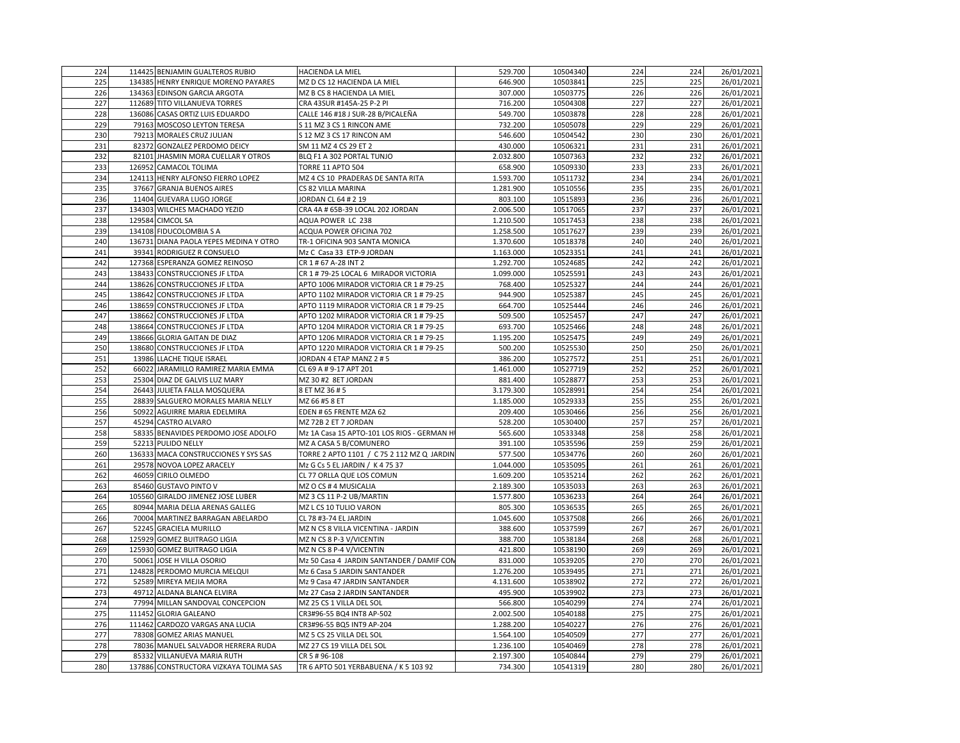| 224        | 114425 BENJAMIN GUALTEROS RUBIO                                | HACIENDA LA MIEL                                      | 529.700                | 10504340             | 224        | 224        | 26/01/2021               |
|------------|----------------------------------------------------------------|-------------------------------------------------------|------------------------|----------------------|------------|------------|--------------------------|
| 225        | 134385 HENRY ENRIQUE MORENO PAYARES                            | MZ D CS 12 HACIENDA LA MIEL                           | 646.900                | 10503841             | 225        | 225        | 26/01/2021               |
| 226        | 134363 EDINSON GARCIA ARGOTA                                   | MZ B CS 8 HACIENDA LA MIEL                            | 307.000                | 10503775             | 226        | 226        | 26/01/2021               |
| 227        | 112689 TITO VILLANUEVA TORRES                                  | CRA 43SUR #145A-25 P-2 PI                             | 716.200                | 10504308             | 227        | 227        | 26/01/2021               |
| 228        | 136086 CASAS ORTIZ LUIS EDUARDO                                | CALLE 146 #18 J SUR-28 B/PICALEÑA                     | 549.700                | 10503878             | 228        | 228        | 26/01/2021               |
| 229        | 79163 MOSCOSO LEYTON TERESA                                    | S 11 MZ 3 CS 1 RINCON AME                             | 732.200                | 10505078             | 229        | 229        | 26/01/2021               |
| 230        | 79213 MORALES CRUZ JULIAN                                      | S 12 MZ 3 CS 17 RINCON AM                             | 546.600                | 10504542             | 230        | 230        | 26/01/2021               |
| 231        | 82372 GONZALEZ PERDOMO DEICY                                   | SM 11 MZ 4 CS 29 ET 2                                 | 430.000                | 10506321             | 231        | 231        | 26/01/2021               |
| 232        | 82101 JHASMIN MORA CUELLAR Y OTROS                             | BLQ F1 A 302 PORTAL TUNJO                             | 2.032.800              | 10507363             | 232        | 232        | 26/01/2021               |
| 233        | 126952 CAMACOL TOLIMA                                          | <b>TORRE 11 APTO 504</b>                              | 658.900                | 10509330             | 233        | 233        | 26/01/2021               |
| 234        | 124113 HENRY ALFONSO FIERRO LOPEZ                              | MZ 4 CS 10 PRADERAS DE SANTA RITA                     | 1.593.700              | 10511732             | 234        | 234        | 26/01/2021               |
| 235        | 37667 GRANJA BUENOS AIRES                                      | CS 82 VILLA MARINA                                    | 1.281.900              | 10510556             | 235        | 235        | 26/01/2021               |
| 236        | 11404 GUEVARA LUGO JORGE                                       | JORDAN CL 64 # 2 19                                   | 803.100                | 10515893             | 236        | 236        | 26/01/2021               |
| 237        | 134303 WILCHES MACHADO YEZID                                   | CRA 4A # 65B-39 LOCAL 202 JORDAN                      | 2.006.500              | 10517065             | 237        | 237        | 26/01/2021               |
| 238        | 129584 CIMCOL SA                                               | AQUA POWER LC 238                                     | 1.210.500              | 10517453             | 238        | 238        | 26/01/2021               |
| 239        | 134108 FIDUCOLOMBIA S A                                        | ACQUA POWER OFICINA 702                               | 1.258.500              | 10517627             | 239        | 239        | 26/01/2021               |
| 240        | 136731 DIANA PAOLA YEPES MEDINA Y OTRO                         | TR-1 OFICINA 903 SANTA MONICA                         | 1.370.600              | 10518378             | 240        | 240        | 26/01/2021               |
| 241        | 39341 RODRIGUEZ R CONSUELO                                     | Mz C Casa 33 ETP-9 JORDAN                             | 1.163.000              | 10523351             | 241        | 241        | 26/01/2021               |
| 242        | 127368 ESPERANZA GOMEZ REINOSO                                 | CR 1 # 67 A-28 INT 2                                  | 1.292.700              | 10524685             | 242        | 242        | 26/01/2021               |
| 243        | 138433 CONSTRUCCIONES JF LTDA                                  | CR 1 # 79-25 LOCAL 6 MIRADOR VICTORIA                 | 1.099.000              | 10525591             | 243        | 243        | 26/01/2021               |
| 244        | 138626 CONSTRUCCIONES JF LTDA                                  | APTO 1006 MIRADOR VICTORIA CR 1 # 79-25               | 768.400                | 10525327             | 244        | 244        | 26/01/2021               |
| 245        | 138642 CONSTRUCCIONES JF LTDA                                  | APTO 1102 MIRADOR VICTORIA CR 1 # 79-25               | 944.900                | 10525387             | 245        | 245        | 26/01/2021               |
| 246        | 138659 CONSTRUCCIONES JF LTDA                                  | APTO 1119 MIRADOR VICTORIA CR 1 # 79-25               | 664.700                | 10525444             | 246        | 246        | 26/01/2021               |
| 247        | 138662 CONSTRUCCIONES JF LTDA                                  | APTO 1202 MIRADOR VICTORIA CR 1 # 79-25               | 509.500                | 10525457             | 247        | 247        | 26/01/2021               |
| 248        | 138664 CONSTRUCCIONES JF LTDA                                  | APTO 1204 MIRADOR VICTORIA CR 1 # 79-25               | 693.700                | 10525466             | 248        | 248        | 26/01/2021               |
| 249        | 138666 GLORIA GAITAN DE DIAZ                                   | APTO 1206 MIRADOR VICTORIA CR 1 # 79-25               | 1.195.200              | 10525475             | 249        | 249        | 26/01/2021               |
| 250        | 138680 CONSTRUCCIONES JF LTDA                                  | APTO 1220 MIRADOR VICTORIA CR 1 # 79-25               | 500.200                | 10525530             | 250        | 250        | 26/01/2021               |
| 251        | 13986 LLACHE TIQUE ISRAEL                                      | JORDAN 4 ETAP MANZ 2 # 5                              | 386.200                | 10527572             | 251        | 251        | 26/01/2021               |
| 252        | 66022 JARAMILLO RAMIREZ MARIA EMMA                             | CL 69 A # 9-17 APT 201                                | 1.461.000              | 10527719             | 252        | 252        | 26/01/2021               |
| 253        | 25304 DIAZ DE GALVIS LUZ MARY                                  | MZ 30 #2 8ET JORDAN                                   | 881.400                | 10528877             | 253        | 253        | 26/01/2021               |
| 254        | 26443 JULIETA FALLA MOSQUERA                                   | 8 ET MZ 36 # 5                                        | 3.179.300              | 10528991             | 254        | 254        | 26/01/2021               |
| 255        | 28839 SALGUERO MORALES MARIA NELLY                             | MZ 66 #5 8 ET                                         | 1.185.000              | 10529333             | 255        | 255        | 26/01/2021               |
| 256        | 50922 AGUIRRE MARIA EDELMIRA                                   | EDEN # 65 FRENTE MZA 62                               | 209.400                | 10530466             | 256        | 256        | 26/01/2021               |
| 257        | 45294 CASTRO ALVARO                                            | MZ 72B 2 ET 7 JORDAN                                  | 528.200                | 10530400             | 257        | 257        | 26/01/2021               |
| 258        | 58335 BENAVIDES PERDOMO JOSE ADOLFO                            | Mz 1A Casa 15 APTO-101 LOS RIOS - GERMAN HI           | 565.600                | 10533348             | 258        | 258        | 26/01/2021               |
| 259        | 52213 PULIDO NELLY                                             | MZ A CASA 5 B/COMUNERO                                | 391.100                | 10535596             | 259        | 259        | 26/01/2021               |
| 260        | 136333 MACA CONSTRUCCIONES Y SYS SAS                           | TORRE 2 APTO 1101 / C 75 2 112 MZ Q JARDIN            | 577.500                | 10534776             | 260        | 260        | 26/01/2021               |
| 261        | 29578 NOVOA LOPEZ ARACELY                                      | Mz G Cs 5 EL JARDIN / K 4 75 37                       | 1.044.000              | 10535095             | 261        | 261        | 26/01/2021               |
| 262        | 46059 CIRILO OLMEDO                                            | CL 77 ORLLA QUE LOS COMUN                             | 1.609.200              | 10535214             | 262        | 262        | 26/01/2021               |
| 263        | 85460 GUSTAVO PINTO V                                          | MZ O CS # 4 MUSICALIA                                 | 2.189.300              | 10535033             | 263        | 263        | 26/01/2021               |
| 264        | 105560 GIRALDO JIMENEZ JOSE LUBER                              | MZ 3 CS 11 P-2 UB/MARTIN                              | 1.577.800              | 10536233             | 264        | 264        | 26/01/2021               |
| 265        | 80944 MARIA DELIA ARENAS GALLEG                                | MZ L CS 10 TULIO VARON                                | 805.300                | 10536535             | 265        | 265        | 26/01/2021               |
| 266        | 70004 MARTINEZ BARRAGAN ABELARDO                               | CL 78 #3-74 EL JARDIN                                 | 1.045.600              | 10537508             | 266        | 266        | 26/01/2021               |
| 267        | 52245 GRACIELA MURILLO                                         | MZ N CS 8 VILLA VICENTINA - JARDIN                    | 388.600                | 10537599             | 267        | 267        | 26/01/2021               |
| 268        | 125929 GOMEZ BUITRAGO LIGIA                                    | MZ N CS 8 P-3 V/VICENTIN                              | 388.700                | 10538184             | 268        | 268        | 26/01/2021               |
| 269        | 125930 GOMEZ BUITRAGO LIGIA                                    | MZ N CS 8 P-4 V/VICENTIN                              | 421.800                | 10538190             | 269        | 269        | 26/01/2021               |
| 270        | 50061 JOSE H VILLA OSORIO                                      | Mz 50 Casa 4 JARDIN SANTANDER / DAMIF CON             | 831.000                | 10539205             | 270        | 270        | 26/01/2021               |
| 271        | 124828 PERDOMO MURCIA MELQUI                                   | Mz 6 Casa 5 JARDIN SANTANDER                          | 1.276.200              | 10539495             | 271        | 271        | 26/01/2021               |
| 272<br>273 | 52589 MIREYA MEJIA MORA                                        | Mz 9 Casa 47 JARDIN SANTANDER                         | 4.131.600              | 10538902             | 272<br>273 | 272<br>273 | 26/01/2021<br>26/01/2021 |
|            | 49712 ALDANA BLANCA ELVIRA                                     | Mz 27 Casa 2 JARDIN SANTANDER                         | 495.900                | 10539902             |            |            |                          |
| 274<br>275 | 77994 MILLAN SANDOVAL CONCEPCION                               | MZ 25 CS 1 VILLA DEL SOL                              | 566.800                | 10540299             | 274<br>275 | 274        | 26/01/2021               |
| 276        | 111452 GLORIA GALEANO                                          | CR3#96-55 BQ4 INT8 AP-502                             | 2.002.500              | 10540188             | 276        | 275<br>276 | 26/01/2021<br>26/01/2021 |
|            | 111462 CARDOZO VARGAS ANA LUCIA                                | CR3#96-55 BQ5 INT9 AP-204                             | 1.288.200              | 10540227             |            | 277        |                          |
| 277<br>278 | 78308 GOMEZ ARIAS MANUEL<br>78036 MANUEL SALVADOR HERRERA RUDA | MZ 5 CS 25 VILLA DEL SOL<br>MZ 27 CS 19 VILLA DEL SOL | 1.564.100<br>1.236.100 | 10540509<br>10540469 | 277<br>278 | 278        | 26/01/2021<br>26/01/2021 |
| 279        | 85332 VILLANUEVA MARIA RUTH                                    | CR 5 # 96-108                                         | 2.197.300              | 10540844             | 279        | 279        | 26/01/2021               |
| 280        | 137886 CONSTRUCTORA VIZKAYA TOLIMA SAS                         | TR 6 APTO 501 YERBABUENA / K 5 103 92                 | 734.300                | 10541319             | 280        | 280        | 26/01/2021               |
|            |                                                                |                                                       |                        |                      |            |            |                          |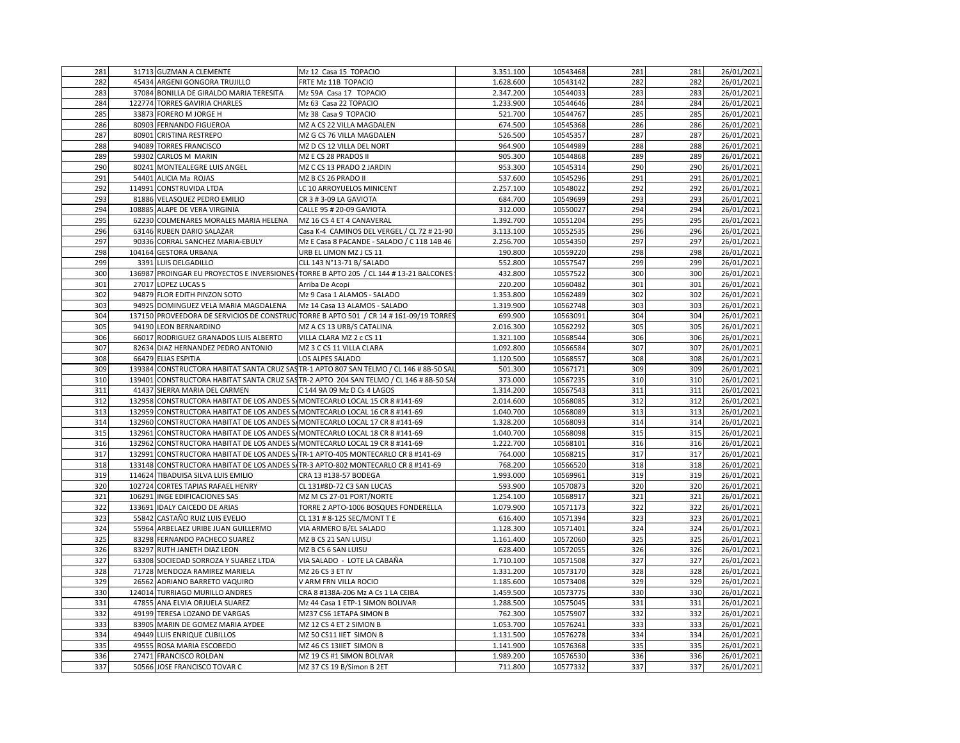| 281        |       | 31713 GUZMAN A CLEMENTE                                                     | Mz 12 Casa 15 TOPACIO                                                                  | 3.351.100            | 10543468             | 281        | 281        | 26/01/2021               |
|------------|-------|-----------------------------------------------------------------------------|----------------------------------------------------------------------------------------|----------------------|----------------------|------------|------------|--------------------------|
| 282        |       | 45434 ARGENI GONGORA TRUJILLO                                               | FRTE Mz 11B TOPACIO                                                                    | 1.628.600            | 10543142             | 282        | 282        | 26/01/2021               |
| 283        |       | 37084 BONILLA DE GIRALDO MARIA TERESITA                                     | Mz 59A Casa 17 TOPACIO                                                                 | 2.347.200            | 10544033             | 283        | 283        | 26/01/2021               |
| 284        |       | 122774 TORRES GAVIRIA CHARLES                                               | Mz 63 Casa 22 TOPACIO                                                                  | 1.233.900            | 10544646             | 284        | 284        | 26/01/2021               |
| 285        |       | 33873 FORERO M JORGE H                                                      | Mz 38 Casa 9 TOPACIO                                                                   | 521.700              | 10544767             | 285        | 285        | 26/01/2021               |
| 286        |       | 80903 FERNANDO FIGUEROA                                                     | MZ A CS 22 VILLA MAGDALEN                                                              | 674.500              | 10545368             | 286        | 286        | 26/01/2021               |
| 287        |       | 80901 CRISTINA RESTREPO                                                     | MZ G CS 76 VILLA MAGDALEN                                                              | 526.500              | 10545357             | 287        | 287        | 26/01/2021               |
| 288        |       | 94089 TORRES FRANCISCO                                                      | MZ D CS 12 VILLA DEL NORT                                                              | 964.900              | 10544989             | 288        | 288        | 26/01/2021               |
| 289        |       | 59302 CARLOS M MARIN                                                        | MZ E CS 28 PRADOS II                                                                   | 905.300              | 10544868             | 289        | 289        | 26/01/2021               |
| 290        |       | 80241 MONTEALEGRE LUIS ANGEL                                                | MZ C CS 13 PRADO 2 JARDIN                                                              | 953.300              | 10545314             | 290        | 290        | 26/01/2021               |
| 291        |       | 54401 ALICIA Ma ROJAS                                                       | MZ B CS 26 PRADO II                                                                    | 537.600              | 10545296             | 291        | 291        | 26/01/2021               |
| 292        |       | 114991 CONSTRUVIDA LTDA                                                     | LC 10 ARROYUELOS MINICENT                                                              | 2.257.100            | 10548022             | 292        | 292        | 26/01/2021               |
| 293        |       | 81886 VELASQUEZ PEDRO EMILIO                                                | CR 3 # 3-09 LA GAVIOTA                                                                 | 684.700              | 10549699             | 293        | 293        | 26/01/2021               |
| 294        |       | 108885 ALAPE DE VERA VIRGINIA                                               | CALLE 95 # 20-09 GAVIOTA                                                               | 312.000              | 10550027             | 294        | 294        | 26/01/2021               |
| 295        |       | 62230 COLMENARES MORALES MARIA HELENA                                       | MZ 16 CS 4 ET 4 CANAVERAL                                                              | 1.392.700            | 10551204             | 295        | 295        | 26/01/2021               |
| 296        |       | 63146 RUBEN DARIO SALAZAR                                                   | Casa K-4 CAMINOS DEL VERGEL / CL 72 # 21-90                                            | 3.113.100            | 10552535             | 296        | 296        | 26/01/2021               |
| 297        |       | 90336 CORRAL SANCHEZ MARIA-EBULY                                            | Mz E Casa 8 PACANDE - SALADO / C 118 14B 46                                            | 2.256.700            | 10554350             | 297        | 297        | 26/01/2021               |
| 298        |       | 104164 GESTORA URBANA                                                       | URB EL LIMON MZ J CS 11                                                                | 190.800              | 10559220             | 298        | 298        | 26/01/2021               |
| 299        |       | 3391 LUIS DELGADILLO                                                        | CLL 143 N°13-71 B/ SALADO                                                              | 552.800              | 10557547             | 299        | 299        | 26/01/2021               |
| 300        |       |                                                                             | 136987 PROINGAR EU PROYECTOS E INVERSIONES TORRE B APTO 205 / CL 144 # 13-21 BALCONES  | 432.800              | 10557522             | 300        | 300        | 26/01/2021               |
| 301        |       | 27017 LOPEZ LUCAS S                                                         | Arriba De Acopi                                                                        | 220.200              | 10560482             | 301        | 301        | 26/01/2021               |
| 302        |       | 94879 FLOR EDITH PINZON SOTO                                                | Mz 9 Casa 1 ALAMOS - SALADO                                                            | 1.353.800            | 10562489             | 302        | 302        | 26/01/2021               |
| 303        |       | 94925 DOMINGUEZ VELA MARIA MAGDALENA                                        | Mz 14 Casa 13 ALAMOS - SALADO                                                          | 1.319.900            | 10562748             | 303        | 303        | 26/01/2021               |
| 304        |       |                                                                             | 137150 PROVEEDORA DE SERVICIOS DE CONSTRUC TORRE B APTO 501 / CR 14 #161-09/19 TORRES  | 699.900              | 10563091             | 304        | 304        | 26/01/2021               |
| 305        |       | 94190 LEON BERNARDINO                                                       | MZ A CS 13 URB/S CATALINA                                                              | 2.016.300            | 10562292             | 305        | 305        | 26/01/2021               |
| 306        |       | 66017 RODRIGUEZ GRANADOS LUIS ALBERTO                                       | VILLA CLARA MZ 2 c CS 11                                                               | 1.321.100            | 10568544             | 306        | 306        | 26/01/2021               |
| 307        |       | 82634 DIAZ HERNANDEZ PEDRO ANTONIO                                          | MZ 3 C CS 11 VILLA CLARA                                                               | 1.092.800            | 10566584             | 307        | 307        | 26/01/2021               |
| 308        |       | 66479 ELIAS ESPITIA                                                         | LOS ALPES SALADO                                                                       | 1.120.500            | 10568557             | 308        | 308        | 26/01/2021               |
| 309        |       |                                                                             | 139384 CONSTRUCTORA HABITAT SANTA CRUZ SASTR-1 APTO 807 SAN TELMO / CL 146 # 8B-50 SAI | 501.300              | 10567171             | 309        | 309        | 26/01/2021               |
| 310        |       |                                                                             | 139401 CONSTRUCTORA HABITAT SANTA CRUZ SASTR-2 APTO 204 SAN TELMO / CL 146 # 8B-50 SA  | 373.000              | 10567235             | 310        | 310        | 26/01/2021               |
| 311        |       | 41437 SIERRA MARIA DEL CARMEN                                               | C 144 9A 09 Mz D Cs 4 LAGOS                                                            | 1.314.200            | 10567543             | 311        | 311        | 26/01/2021               |
| 312        |       | 132958 CONSTRUCTORA HABITAT DE LOS ANDES S/MONTECARLO LOCAL 15 CR 8 #141-69 |                                                                                        | 2.014.600            | 10568085             | 312        | 312        | 26/01/2021               |
| 313        |       | 132959 CONSTRUCTORA HABITAT DE LOS ANDES S/MONTECARLO LOCAL 16 CR 8 #141-69 |                                                                                        | 1.040.700            | 10568089             | 313        | 313        | 26/01/2021               |
| 314        |       | 132960 CONSTRUCTORA HABITAT DE LOS ANDES S/MONTECARLO LOCAL 17 CR 8 #141-69 |                                                                                        | 1.328.200            | 10568093             | 314        | 314        | 26/01/2021               |
| 315        |       | 132961 CONSTRUCTORA HABITAT DE LOS ANDES S/MONTECARLO LOCAL 18 CR 8 #141-69 |                                                                                        | 1.040.700            | 10568098             | 315        | 315        | 26/01/2021               |
| 316        |       | 132962 CONSTRUCTORA HABITAT DE LOS ANDES S/MONTECARLO LOCAL 19 CR 8 #141-69 |                                                                                        | 1.222.700            | 10568101             | 316        | 316        | 26/01/2021               |
| 317        |       |                                                                             | 132991 CONSTRUCTORA HABITAT DE LOS ANDES S/TR-1 APTO-405 MONTECARLO CR 8 #141-69       | 764.000              | 10568215             | 317        | 317        | 26/01/2021               |
| 318        |       |                                                                             | 133148 CONSTRUCTORA HABITAT DE LOS ANDES S/TR-3 APTO-802 MONTECARLO CR 8 #141-69       | 768.200              | 10566520             | 318        | 318        | 26/01/2021               |
| 319        |       | 114624 TIBADUISA SILVA LUIS EMILIO                                          | CRA 13 #138-57 BODEGA                                                                  | 1.993.000            | 10569961             | 319        | 319        | 26/01/2021               |
| 320        |       | 102724 CORTES TAPIAS RAFAEL HENRY                                           | CL 131#8D-72 C3 SAN LUCAS                                                              | 593.900              | 10570873             | 320        | 320        | 26/01/2021               |
| 321        |       | 106291 INGE EDIFICACIONES SAS                                               | MZ M CS 27-01 PORT/NORTE                                                               | 1.254.100            | 10568917             | 321        | 321        | 26/01/2021               |
| 322        |       | 133691 IDALY CAICEDO DE ARIAS                                               | TORRE 2 APTO-1006 BOSQUES FONDERELLA                                                   | 1.079.900            | 10571173             | 322        | 322        | 26/01/2021               |
| 323        |       | 55842 CASTAÑO RUIZ LUIS EVELIO                                              | CL 131 # 8-125 SEC/MONT T E                                                            | 616.400              | 10571394             | 323        | 323        | 26/01/2021               |
| 324<br>325 |       | 55964 ARBELAEZ URIBE JUAN GUILLERMO                                         | VIA ARMERO B/EL SALADO                                                                 | 1.128.300            | 10571401             | 324<br>325 | 324<br>325 | 26/01/2021<br>26/01/2021 |
|            |       | 83298 FERNANDO PACHECO SUAREZ                                               | MZ B CS 21 SAN LUISU                                                                   | 1.161.400            | 10572060             |            |            |                          |
| 326<br>327 |       | 83297 RUTH JANETH DIAZ LEON<br>63308 SOCIEDAD SORROZA Y SUAREZ LTDA         | MZ B CS 6 SAN LUISU<br>VIA SALADO - LOTE LA CABAÑA                                     | 628.400<br>1.710.100 | 10572055<br>10571508 | 326<br>327 | 326<br>327 | 26/01/2021<br>26/01/2021 |
| 328        |       | 71728 MENDOZA RAMIREZ MARIELA                                               | MZ 26 CS 3 ET IV                                                                       | 1.331.200            | 10573170             | 328        | 328        | 26/01/2021               |
| 329        |       | 26562 ADRIANO BARRETO VAQUIRO                                               | V ARM FRN VILLA ROCIO                                                                  | 1.185.600            | 10573408             | 329        | 329        | 26/01/2021               |
| 330        |       | 124014 TURRIAGO MURILLO ANDRES                                              | CRA 8 #138A-206 Mz A Cs 1 LA CEIBA                                                     | 1.459.500            | 10573775             | 330        | 330        | 26/01/2021               |
| 331        | 47855 | ANA ELVIA ORJUELA SUAREZ                                                    | Mz 44 Casa 1 ETP-1 SIMON BOLIVAR                                                       | 1.288.500            | 10575045             | 331        | 331        | 26/01/2021               |
| 332        |       | 49199 TERESA LOZANO DE VARGAS                                               | MZ37 CS6 1ETAPA SIMON B                                                                | 762.300              | 10575907             | 332        | 332        | 26/01/2021               |
| 333        |       | 83905 MARIN DE GOMEZ MARIA AYDEE                                            | MZ 12 CS 4 ET 2 SIMON B                                                                | 1.053.700            | 10576241             | 333        | 333        | 26/01/2021               |
| 334        |       | 49449 LUIS ENRIQUE CUBILLOS                                                 | MZ 50 CS11 IIET SIMON B                                                                | 1.131.500            | 10576278             | 334        | 334        | 26/01/2021               |
| 335        |       | 49555 ROSA MARIA ESCOBEDO                                                   | MZ 46 CS 13IIET SIMON B                                                                | 1.141.900            | 10576368             | 335        | 335        | 26/01/2021               |
| 336        |       | 27471 FRANCISCO ROLDAN                                                      | MZ 19 CS #1 SIMON BOLIVAR                                                              | 1.989.200            | 10576530             | 336        | 336        | 26/01/2021               |
| 337        |       | 50566 JOSE FRANCISCO TOVAR C                                                | MZ 37 CS 19 B/Simon B 2ET                                                              | 711.800              | 10577332             | 337        | 337        | 26/01/2021               |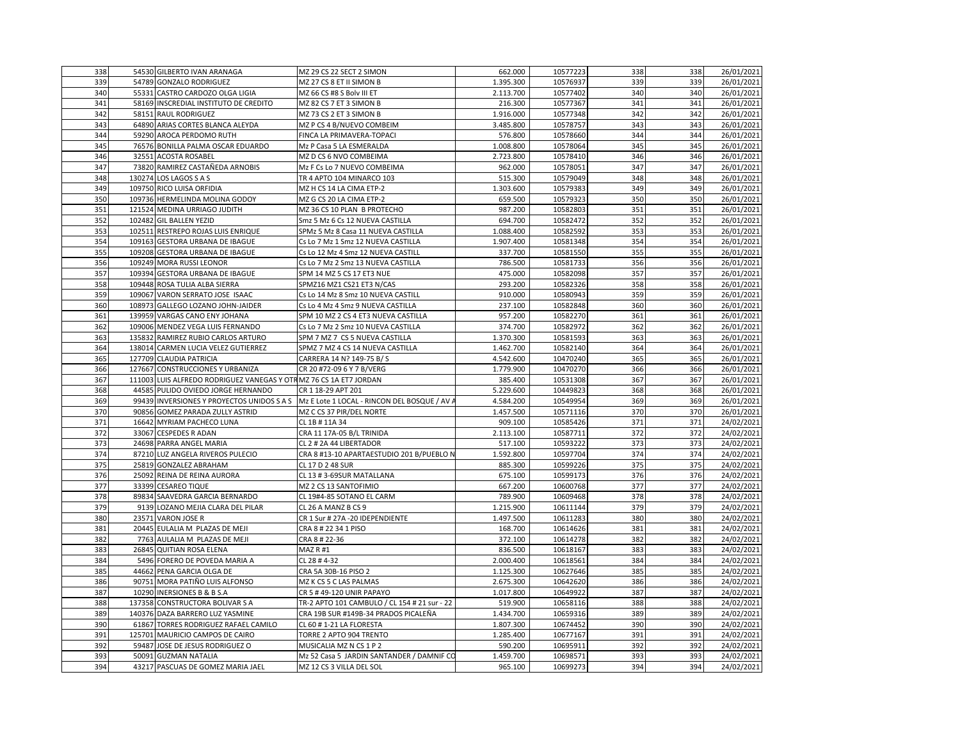| 339<br>339<br>26/01/2021<br>54789 GONZALO RODRIGUEZ<br>MZ 27 CS 8 ET II SIMON B<br>1.395.300<br>10576937<br>339<br>340<br>55331 CASTRO CARDOZO OLGA LIGIA<br>MZ 66 CS #8 S Bolv III ET<br>2.113.700<br>340<br>340<br>26/01/2021<br>10577402<br>341<br>58169 INSCREDIAL INSTITUTO DE CREDITO<br>MZ 82 CS 7 ET 3 SIMON B<br>216.300<br>10577367<br>341<br>341<br>26/01/2021<br>342<br>58151 RAUL RODRIGUEZ<br>10577348<br>342<br>26/01/2021<br>MZ 73 CS 2 ET 3 SIMON B<br>1.916.000<br>342<br>343<br>343<br>64890 ARIAS CORTES BLANCA ALEYDA<br>MZ P CS 4 B/NUEVO COMBEIM<br>3.485.800<br>10578757<br>343<br>26/01/2021<br>344<br>59290 AROCA PERDOMO RUTH<br>576.800<br>10578660<br>344<br>344<br>26/01/2021<br>FINCA LA PRIMAVERA-TOPACI<br>345<br>10578064<br>26/01/2021<br>76576 BONILLA PALMA OSCAR EDUARDO<br>Mz P Casa 5 LA ESMERALDA<br>1.008.800<br>345<br>345<br>346<br>32551<br>2.723.800<br>10578410<br>346<br>346<br>26/01/2021<br><b>ACOSTA ROSABEL</b><br>MZ D CS 6 NVO COMBEIMA<br>347<br>73820 RAMIREZ CASTAÑEDA ARNOBIS<br>962.000<br>10578051<br>347<br>347<br>26/01/2021<br>Mz F Cs Lo 7 NUEVO COMBEIMA<br>348<br>348<br>26/01/2021<br>130274 LOS LAGOS S A S<br>TR 4 APTO 104 MINARCO 103<br>515.300<br>10579049<br>348<br>349<br>109750 RICO LUISA ORFIDIA<br>MZ H CS 14 LA CIMA ETP-2<br>1.303.600<br>10579383<br>349<br>349<br>26/01/2021<br>350<br>350<br>26/01/2021<br>109736 HERMELINDA MOLINA GODOY<br>MZ G CS 20 LA CIMA ETP-2<br>659.500<br>10579323<br>350<br>351<br>351<br>26/01/2021<br>121524 MEDINA URRIAGO JUDITH<br>MZ 36 CS 10 PLAN B PROTECHO<br>987.200<br>10582803<br>351<br>352<br>352<br>352<br>26/01/2021<br>102482 GIL BALLEN YEZID<br>Smz 5 Mz 6 Cs 12 NUEVA CASTILLA<br>694.700<br>10582472<br>353<br>10582592<br>353<br>353<br>26/01/2021<br>102511 RESTREPO ROJAS LUIS ENRIQUE<br>SPMz 5 Mz 8 Casa 11 NUEVA CASTILLA<br>1.088.400<br>354<br>354<br>109163 GESTORA URBANA DE IBAGUE<br>Cs Lo 7 Mz 1 Smz 12 NUEVA CASTILLA<br>1.907.400<br>10581348<br>354<br>26/01/2021<br>355<br>26/01/2021<br>355<br>109208 GESTORA URBANA DE IBAGUE<br>Cs Lo 12 Mz 4 Smz 12 NUEVA CASTILL<br>337.700<br>10581550<br>355<br>356<br>356<br>356<br>109249 MORA RUSSI LEONOR<br>Cs Lo 7 Mz 2 Smz 13 NUEVA CASTILLA<br>786.500<br>26/01/2021<br>10581733<br>357<br>109394 GESTORA URBANA DE IBAGUE<br>SPM 14 MZ 5 CS 17 ET3 NUE<br>475.000<br>10582098<br>357<br>357<br>26/01/2021<br>358<br>109448 ROSA TULIA ALBA SIERRA<br>SPMZ16 MZ1 CS21 ET3 N/CAS<br>293.200<br>10582326<br>358<br>358<br>26/01/2021<br>359<br>359<br>109067 VARON SERRATO JOSE ISAAC<br>Cs Lo 14 Mz 8 Smz 10 NUEVA CASTILL<br>910.000<br>10580943<br>359<br>26/01/2021<br>360<br>108973 GALLEGO LOZANO JOHN-JAIDER<br>Cs Lo 4 Mz 4 Smz 9 NUEVA CASTILLA<br>237.100<br>10582848<br>360<br>360<br>26/01/2021<br>361<br>139959 VARGAS CANO ENY JOHANA<br>SPM 10 MZ 2 CS 4 ET3 NUEVA CASTILLA<br>957.200<br>10582270<br>361<br>361<br>26/01/2021<br>362<br>362<br>109006 MENDEZ VEGA LUIS FERNANDO<br>Cs Lo 7 Mz 2 Smz 10 NUEVA CASTILLA<br>374.700<br>10582972<br>362<br>26/01/2021<br>363<br>135832 RAMIREZ RUBIO CARLOS ARTURO<br>SPM 7 MZ 7 CS 5 NUEVA CASTILLA<br>10581593<br>363<br>26/01/2021<br>1.370.300<br>363<br>364<br>138014 CARMEN LUCIA VELEZ GUTIERREZ<br>SPMZ 7 MZ 4 CS 14 NUEVA CASTILLA<br>1.462.700<br>10582140<br>364<br>364<br>26/01/2021<br>365<br>365<br>365<br>127709 CLAUDIA PATRICIA<br>CARRERA 14 N? 149-75 B/S<br>4.542.600<br>10470240<br>26/01/2021<br>366<br>1.779.900<br>10470270<br>366<br>366<br>26/01/2021<br>127667 CONSTRUCCIONES Y URBANIZA<br>CR 20 #72-09 6 Y 7 B/VERG<br>367<br>111003 LUIS ALFREDO RODRIGUEZ VANEGAS Y OTRIMZ 76 CS 1A ET7 JORDAN<br>367<br>367<br>26/01/2021<br>385.400<br>10531308<br>44585 PULIDO OVIEDO JORGE HERNANDO<br>368<br>26/01/2021<br>368<br>CR 1 18-29 APT 201<br>5.229.600<br>10449823<br>368<br>369<br>369<br>369<br>99439 INVERSIONES Y PROYECTOS UNIDOS S A S<br>Mz E Lote 1 LOCAL - RINCON DEL BOSQUE / AV /<br>4.584.200<br>10549954<br>26/01/2021<br>370<br>370<br>370<br>26/01/2021<br>90856 GOMEZ PARADA ZULLY ASTRID<br>MZ C CS 37 PIR/DEL NORTE<br>1.457.500<br>10571116<br>371<br>10585426<br>371<br>371<br>24/02/2021<br>16642 MYRIAM PACHECO LUNA<br>CL 1B # 11A 34<br>909.100<br>372<br>372<br>372<br>24/02/2021<br>33067<br><b>CESPEDES R ADAN</b><br>CRA 11 17A-05 B/L TRINIDA<br>2.113.100<br>10587711<br>373<br>373<br>24/02/2021<br>24698 PARRA ANGEL MARIA<br>CL 2 # 2A 44 LIBERTADOR<br>517.100<br>10593222<br>373<br>374<br>CRA 8 #13-10 APARTAESTUDIO 201 B/PUEBLO N<br>1.592.800<br>10597704<br>374<br>374<br>24/02/2021<br>87210 LUZ ANGELA RIVEROS PULECIO<br>375<br>375<br>375<br>25819 GONZALEZ ABRAHAM<br>885.300<br>10599226<br>24/02/2021<br>CL 17 D 2 48 SUR<br>376<br>376<br>25092 REINA DE REINA AURORA<br>CL 13 # 3-69SUR MATALLANA<br>10599173<br>376<br>24/02/2021<br>675.100<br>377<br>377<br>377<br>33399 CESAREO TIQUE<br>MZ 2 CS 13 SANTOFIMIO<br>667.200<br>10600768<br>24/02/2021<br>378<br>378<br>24/02/2021<br>89834 SAAVEDRA GARCIA BERNARDO<br>CL 19#4-85 SOTANO EL CARM<br>789.900<br>10609468<br>378<br>379<br>379<br>379<br>24/02/2021<br>9139 LOZANO MEJIA CLARA DEL PILAR<br>CL 26 A MANZ B CS 9<br>1.215.900<br>10611144<br>380<br>380<br>380<br>24/02/2021<br>23571 VARON JOSE R<br>CR 1 Sur # 27A - 20 IDEPENDIENTE<br>1.497.500<br>10611283<br>24/02/2021<br>381<br>20445 EULALIA M PLAZAS DE MEJI<br>168.700<br>10614626<br>381<br>381<br>CRA 8 # 22 34 1 PISO<br>382<br>382<br>382<br>7763<br>AULALIA M PLAZAS DE MEJI<br>CRA 8 # 22-36<br>372.100<br>10614278<br>24/02/2021<br>383<br>383<br>24/02/2021<br>26845<br><b>QUITIAN ROSA ELENA</b><br>MAZ R #1<br>836.500<br>10618167<br>383<br>384<br>CL 28 #4-32<br>2.000.400<br>10618561<br>384<br>384<br>24/02/2021<br>5496 FORERO DE POVEDA MARIA A<br>385<br>385<br>385<br>24/02/2021<br>44662<br>PENA GARCIA OLGA DE<br>CRA 5A 30B-16 PISO 2<br>1.125.300<br>10627646<br>386<br>90751 MORA PATIÑO LUIS ALFONSO<br>386<br>386<br>24/02/2021<br>MZ K CS 5 C LAS PALMAS<br>2.675.300<br>10642620<br>387<br>10290 INERSIONES B & B S.A<br>CR 5 #49-120 UNIR PAPAYO<br>1.017.800<br>10649922<br>387<br>387<br>24/02/2021<br>388<br>137358<br>TR-2 APTO 101 CAMBULO / CL 154 # 21 sur - 22<br>388<br>388<br>24/02/2021<br>CONSTRUCTORA BOLIVAR S A<br>519.900<br>10658116<br>389<br>140376 DAZA BARRERO LUZ YASMINE<br>389<br>24/02/2021<br>CRA 19B SUR #149B-34 PRADOS PICALEÑA<br>1.434.700<br>10659316<br>389<br>390<br>390<br>61867 TORRES RODRIGUEZ RAFAEL CAMILO<br>CL 60 #1-21 LA FLORESTA<br>1.807.300<br>10674452<br>390<br>24/02/2021 | 338 | 54530 GILBERTO IVAN ARANAGA | MZ 29 CS 22 SECT 2 SIMON | 662.000 | 10577223 | 338 | 338 | 26/01/2021 |
|---------------------------------------------------------------------------------------------------------------------------------------------------------------------------------------------------------------------------------------------------------------------------------------------------------------------------------------------------------------------------------------------------------------------------------------------------------------------------------------------------------------------------------------------------------------------------------------------------------------------------------------------------------------------------------------------------------------------------------------------------------------------------------------------------------------------------------------------------------------------------------------------------------------------------------------------------------------------------------------------------------------------------------------------------------------------------------------------------------------------------------------------------------------------------------------------------------------------------------------------------------------------------------------------------------------------------------------------------------------------------------------------------------------------------------------------------------------------------------------------------------------------------------------------------------------------------------------------------------------------------------------------------------------------------------------------------------------------------------------------------------------------------------------------------------------------------------------------------------------------------------------------------------------------------------------------------------------------------------------------------------------------------------------------------------------------------------------------------------------------------------------------------------------------------------------------------------------------------------------------------------------------------------------------------------------------------------------------------------------------------------------------------------------------------------------------------------------------------------------------------------------------------------------------------------------------------------------------------------------------------------------------------------------------------------------------------------------------------------------------------------------------------------------------------------------------------------------------------------------------------------------------------------------------------------------------------------------------------------------------------------------------------------------------------------------------------------------------------------------------------------------------------------------------------------------------------------------------------------------------------------------------------------------------------------------------------------------------------------------------------------------------------------------------------------------------------------------------------------------------------------------------------------------------------------------------------------------------------------------------------------------------------------------------------------------------------------------------------------------------------------------------------------------------------------------------------------------------------------------------------------------------------------------------------------------------------------------------------------------------------------------------------------------------------------------------------------------------------------------------------------------------------------------------------------------------------------------------------------------------------------------------------------------------------------------------------------------------------------------------------------------------------------------------------------------------------------------------------------------------------------------------------------------------------------------------------------------------------------------------------------------------------------------------------------------------------------------------------------------------------------------------------------------------------------------------------------------------------------------------------------------------------------------------------------------------------------------------------------------------------------------------------------------------------------------------------------------------------------------------------------------------------------------------------------------------------------------------------------------------------------------------------------------------------------------------------------------------------------------------------------------------------------------------------------------------------------------------------------------------------------------------------------------------------------------------------------------------------------------------------------------------------------------------------------------------------------------------------------------------------------------------------------------------------------------------------------------------------------------------------------------------------------------------------------------------------------------------------------------------------------------------------------------------------------------------------------------------------------------------------------------------------------------------------------------------------------------------------------------------------------------------------------------------------------------------------------------------------------------------------------------------------------------------------------------------------------------------------------------------------------------------------------------------------------------------------------------------------------------------------------|-----|-----------------------------|--------------------------|---------|----------|-----|-----|------------|
|                                                                                                                                                                                                                                                                                                                                                                                                                                                                                                                                                                                                                                                                                                                                                                                                                                                                                                                                                                                                                                                                                                                                                                                                                                                                                                                                                                                                                                                                                                                                                                                                                                                                                                                                                                                                                                                                                                                                                                                                                                                                                                                                                                                                                                                                                                                                                                                                                                                                                                                                                                                                                                                                                                                                                                                                                                                                                                                                                                                                                                                                                                                                                                                                                                                                                                                                                                                                                                                                                                                                                                                                                                                                                                                                                                                                                                                                                                                                                                                                                                                                                                                                                                                                                                                                                                                                                                                                                                                                                                                                                                                                                                                                                                                                                                                                                                                                                                                                                                                                                                                                                                                                                                                                                                                                                                                                                                                                                                                                                                                                                                                                                                                                                                                                                                                                                                                                                                                                                                                                                                                                                                                                                                                                                                                                                                                                                                                                                                                                                                                                                                                                                                 |     |                             |                          |         |          |     |     |            |
|                                                                                                                                                                                                                                                                                                                                                                                                                                                                                                                                                                                                                                                                                                                                                                                                                                                                                                                                                                                                                                                                                                                                                                                                                                                                                                                                                                                                                                                                                                                                                                                                                                                                                                                                                                                                                                                                                                                                                                                                                                                                                                                                                                                                                                                                                                                                                                                                                                                                                                                                                                                                                                                                                                                                                                                                                                                                                                                                                                                                                                                                                                                                                                                                                                                                                                                                                                                                                                                                                                                                                                                                                                                                                                                                                                                                                                                                                                                                                                                                                                                                                                                                                                                                                                                                                                                                                                                                                                                                                                                                                                                                                                                                                                                                                                                                                                                                                                                                                                                                                                                                                                                                                                                                                                                                                                                                                                                                                                                                                                                                                                                                                                                                                                                                                                                                                                                                                                                                                                                                                                                                                                                                                                                                                                                                                                                                                                                                                                                                                                                                                                                                                                 |     |                             |                          |         |          |     |     |            |
|                                                                                                                                                                                                                                                                                                                                                                                                                                                                                                                                                                                                                                                                                                                                                                                                                                                                                                                                                                                                                                                                                                                                                                                                                                                                                                                                                                                                                                                                                                                                                                                                                                                                                                                                                                                                                                                                                                                                                                                                                                                                                                                                                                                                                                                                                                                                                                                                                                                                                                                                                                                                                                                                                                                                                                                                                                                                                                                                                                                                                                                                                                                                                                                                                                                                                                                                                                                                                                                                                                                                                                                                                                                                                                                                                                                                                                                                                                                                                                                                                                                                                                                                                                                                                                                                                                                                                                                                                                                                                                                                                                                                                                                                                                                                                                                                                                                                                                                                                                                                                                                                                                                                                                                                                                                                                                                                                                                                                                                                                                                                                                                                                                                                                                                                                                                                                                                                                                                                                                                                                                                                                                                                                                                                                                                                                                                                                                                                                                                                                                                                                                                                                                 |     |                             |                          |         |          |     |     |            |
|                                                                                                                                                                                                                                                                                                                                                                                                                                                                                                                                                                                                                                                                                                                                                                                                                                                                                                                                                                                                                                                                                                                                                                                                                                                                                                                                                                                                                                                                                                                                                                                                                                                                                                                                                                                                                                                                                                                                                                                                                                                                                                                                                                                                                                                                                                                                                                                                                                                                                                                                                                                                                                                                                                                                                                                                                                                                                                                                                                                                                                                                                                                                                                                                                                                                                                                                                                                                                                                                                                                                                                                                                                                                                                                                                                                                                                                                                                                                                                                                                                                                                                                                                                                                                                                                                                                                                                                                                                                                                                                                                                                                                                                                                                                                                                                                                                                                                                                                                                                                                                                                                                                                                                                                                                                                                                                                                                                                                                                                                                                                                                                                                                                                                                                                                                                                                                                                                                                                                                                                                                                                                                                                                                                                                                                                                                                                                                                                                                                                                                                                                                                                                                 |     |                             |                          |         |          |     |     |            |
|                                                                                                                                                                                                                                                                                                                                                                                                                                                                                                                                                                                                                                                                                                                                                                                                                                                                                                                                                                                                                                                                                                                                                                                                                                                                                                                                                                                                                                                                                                                                                                                                                                                                                                                                                                                                                                                                                                                                                                                                                                                                                                                                                                                                                                                                                                                                                                                                                                                                                                                                                                                                                                                                                                                                                                                                                                                                                                                                                                                                                                                                                                                                                                                                                                                                                                                                                                                                                                                                                                                                                                                                                                                                                                                                                                                                                                                                                                                                                                                                                                                                                                                                                                                                                                                                                                                                                                                                                                                                                                                                                                                                                                                                                                                                                                                                                                                                                                                                                                                                                                                                                                                                                                                                                                                                                                                                                                                                                                                                                                                                                                                                                                                                                                                                                                                                                                                                                                                                                                                                                                                                                                                                                                                                                                                                                                                                                                                                                                                                                                                                                                                                                                 |     |                             |                          |         |          |     |     |            |
|                                                                                                                                                                                                                                                                                                                                                                                                                                                                                                                                                                                                                                                                                                                                                                                                                                                                                                                                                                                                                                                                                                                                                                                                                                                                                                                                                                                                                                                                                                                                                                                                                                                                                                                                                                                                                                                                                                                                                                                                                                                                                                                                                                                                                                                                                                                                                                                                                                                                                                                                                                                                                                                                                                                                                                                                                                                                                                                                                                                                                                                                                                                                                                                                                                                                                                                                                                                                                                                                                                                                                                                                                                                                                                                                                                                                                                                                                                                                                                                                                                                                                                                                                                                                                                                                                                                                                                                                                                                                                                                                                                                                                                                                                                                                                                                                                                                                                                                                                                                                                                                                                                                                                                                                                                                                                                                                                                                                                                                                                                                                                                                                                                                                                                                                                                                                                                                                                                                                                                                                                                                                                                                                                                                                                                                                                                                                                                                                                                                                                                                                                                                                                                 |     |                             |                          |         |          |     |     |            |
|                                                                                                                                                                                                                                                                                                                                                                                                                                                                                                                                                                                                                                                                                                                                                                                                                                                                                                                                                                                                                                                                                                                                                                                                                                                                                                                                                                                                                                                                                                                                                                                                                                                                                                                                                                                                                                                                                                                                                                                                                                                                                                                                                                                                                                                                                                                                                                                                                                                                                                                                                                                                                                                                                                                                                                                                                                                                                                                                                                                                                                                                                                                                                                                                                                                                                                                                                                                                                                                                                                                                                                                                                                                                                                                                                                                                                                                                                                                                                                                                                                                                                                                                                                                                                                                                                                                                                                                                                                                                                                                                                                                                                                                                                                                                                                                                                                                                                                                                                                                                                                                                                                                                                                                                                                                                                                                                                                                                                                                                                                                                                                                                                                                                                                                                                                                                                                                                                                                                                                                                                                                                                                                                                                                                                                                                                                                                                                                                                                                                                                                                                                                                                                 |     |                             |                          |         |          |     |     |            |
|                                                                                                                                                                                                                                                                                                                                                                                                                                                                                                                                                                                                                                                                                                                                                                                                                                                                                                                                                                                                                                                                                                                                                                                                                                                                                                                                                                                                                                                                                                                                                                                                                                                                                                                                                                                                                                                                                                                                                                                                                                                                                                                                                                                                                                                                                                                                                                                                                                                                                                                                                                                                                                                                                                                                                                                                                                                                                                                                                                                                                                                                                                                                                                                                                                                                                                                                                                                                                                                                                                                                                                                                                                                                                                                                                                                                                                                                                                                                                                                                                                                                                                                                                                                                                                                                                                                                                                                                                                                                                                                                                                                                                                                                                                                                                                                                                                                                                                                                                                                                                                                                                                                                                                                                                                                                                                                                                                                                                                                                                                                                                                                                                                                                                                                                                                                                                                                                                                                                                                                                                                                                                                                                                                                                                                                                                                                                                                                                                                                                                                                                                                                                                                 |     |                             |                          |         |          |     |     |            |
|                                                                                                                                                                                                                                                                                                                                                                                                                                                                                                                                                                                                                                                                                                                                                                                                                                                                                                                                                                                                                                                                                                                                                                                                                                                                                                                                                                                                                                                                                                                                                                                                                                                                                                                                                                                                                                                                                                                                                                                                                                                                                                                                                                                                                                                                                                                                                                                                                                                                                                                                                                                                                                                                                                                                                                                                                                                                                                                                                                                                                                                                                                                                                                                                                                                                                                                                                                                                                                                                                                                                                                                                                                                                                                                                                                                                                                                                                                                                                                                                                                                                                                                                                                                                                                                                                                                                                                                                                                                                                                                                                                                                                                                                                                                                                                                                                                                                                                                                                                                                                                                                                                                                                                                                                                                                                                                                                                                                                                                                                                                                                                                                                                                                                                                                                                                                                                                                                                                                                                                                                                                                                                                                                                                                                                                                                                                                                                                                                                                                                                                                                                                                                                 |     |                             |                          |         |          |     |     |            |
|                                                                                                                                                                                                                                                                                                                                                                                                                                                                                                                                                                                                                                                                                                                                                                                                                                                                                                                                                                                                                                                                                                                                                                                                                                                                                                                                                                                                                                                                                                                                                                                                                                                                                                                                                                                                                                                                                                                                                                                                                                                                                                                                                                                                                                                                                                                                                                                                                                                                                                                                                                                                                                                                                                                                                                                                                                                                                                                                                                                                                                                                                                                                                                                                                                                                                                                                                                                                                                                                                                                                                                                                                                                                                                                                                                                                                                                                                                                                                                                                                                                                                                                                                                                                                                                                                                                                                                                                                                                                                                                                                                                                                                                                                                                                                                                                                                                                                                                                                                                                                                                                                                                                                                                                                                                                                                                                                                                                                                                                                                                                                                                                                                                                                                                                                                                                                                                                                                                                                                                                                                                                                                                                                                                                                                                                                                                                                                                                                                                                                                                                                                                                                                 |     |                             |                          |         |          |     |     |            |
|                                                                                                                                                                                                                                                                                                                                                                                                                                                                                                                                                                                                                                                                                                                                                                                                                                                                                                                                                                                                                                                                                                                                                                                                                                                                                                                                                                                                                                                                                                                                                                                                                                                                                                                                                                                                                                                                                                                                                                                                                                                                                                                                                                                                                                                                                                                                                                                                                                                                                                                                                                                                                                                                                                                                                                                                                                                                                                                                                                                                                                                                                                                                                                                                                                                                                                                                                                                                                                                                                                                                                                                                                                                                                                                                                                                                                                                                                                                                                                                                                                                                                                                                                                                                                                                                                                                                                                                                                                                                                                                                                                                                                                                                                                                                                                                                                                                                                                                                                                                                                                                                                                                                                                                                                                                                                                                                                                                                                                                                                                                                                                                                                                                                                                                                                                                                                                                                                                                                                                                                                                                                                                                                                                                                                                                                                                                                                                                                                                                                                                                                                                                                                                 |     |                             |                          |         |          |     |     |            |
|                                                                                                                                                                                                                                                                                                                                                                                                                                                                                                                                                                                                                                                                                                                                                                                                                                                                                                                                                                                                                                                                                                                                                                                                                                                                                                                                                                                                                                                                                                                                                                                                                                                                                                                                                                                                                                                                                                                                                                                                                                                                                                                                                                                                                                                                                                                                                                                                                                                                                                                                                                                                                                                                                                                                                                                                                                                                                                                                                                                                                                                                                                                                                                                                                                                                                                                                                                                                                                                                                                                                                                                                                                                                                                                                                                                                                                                                                                                                                                                                                                                                                                                                                                                                                                                                                                                                                                                                                                                                                                                                                                                                                                                                                                                                                                                                                                                                                                                                                                                                                                                                                                                                                                                                                                                                                                                                                                                                                                                                                                                                                                                                                                                                                                                                                                                                                                                                                                                                                                                                                                                                                                                                                                                                                                                                                                                                                                                                                                                                                                                                                                                                                                 |     |                             |                          |         |          |     |     |            |
|                                                                                                                                                                                                                                                                                                                                                                                                                                                                                                                                                                                                                                                                                                                                                                                                                                                                                                                                                                                                                                                                                                                                                                                                                                                                                                                                                                                                                                                                                                                                                                                                                                                                                                                                                                                                                                                                                                                                                                                                                                                                                                                                                                                                                                                                                                                                                                                                                                                                                                                                                                                                                                                                                                                                                                                                                                                                                                                                                                                                                                                                                                                                                                                                                                                                                                                                                                                                                                                                                                                                                                                                                                                                                                                                                                                                                                                                                                                                                                                                                                                                                                                                                                                                                                                                                                                                                                                                                                                                                                                                                                                                                                                                                                                                                                                                                                                                                                                                                                                                                                                                                                                                                                                                                                                                                                                                                                                                                                                                                                                                                                                                                                                                                                                                                                                                                                                                                                                                                                                                                                                                                                                                                                                                                                                                                                                                                                                                                                                                                                                                                                                                                                 |     |                             |                          |         |          |     |     |            |
|                                                                                                                                                                                                                                                                                                                                                                                                                                                                                                                                                                                                                                                                                                                                                                                                                                                                                                                                                                                                                                                                                                                                                                                                                                                                                                                                                                                                                                                                                                                                                                                                                                                                                                                                                                                                                                                                                                                                                                                                                                                                                                                                                                                                                                                                                                                                                                                                                                                                                                                                                                                                                                                                                                                                                                                                                                                                                                                                                                                                                                                                                                                                                                                                                                                                                                                                                                                                                                                                                                                                                                                                                                                                                                                                                                                                                                                                                                                                                                                                                                                                                                                                                                                                                                                                                                                                                                                                                                                                                                                                                                                                                                                                                                                                                                                                                                                                                                                                                                                                                                                                                                                                                                                                                                                                                                                                                                                                                                                                                                                                                                                                                                                                                                                                                                                                                                                                                                                                                                                                                                                                                                                                                                                                                                                                                                                                                                                                                                                                                                                                                                                                                                 |     |                             |                          |         |          |     |     |            |
|                                                                                                                                                                                                                                                                                                                                                                                                                                                                                                                                                                                                                                                                                                                                                                                                                                                                                                                                                                                                                                                                                                                                                                                                                                                                                                                                                                                                                                                                                                                                                                                                                                                                                                                                                                                                                                                                                                                                                                                                                                                                                                                                                                                                                                                                                                                                                                                                                                                                                                                                                                                                                                                                                                                                                                                                                                                                                                                                                                                                                                                                                                                                                                                                                                                                                                                                                                                                                                                                                                                                                                                                                                                                                                                                                                                                                                                                                                                                                                                                                                                                                                                                                                                                                                                                                                                                                                                                                                                                                                                                                                                                                                                                                                                                                                                                                                                                                                                                                                                                                                                                                                                                                                                                                                                                                                                                                                                                                                                                                                                                                                                                                                                                                                                                                                                                                                                                                                                                                                                                                                                                                                                                                                                                                                                                                                                                                                                                                                                                                                                                                                                                                                 |     |                             |                          |         |          |     |     |            |
|                                                                                                                                                                                                                                                                                                                                                                                                                                                                                                                                                                                                                                                                                                                                                                                                                                                                                                                                                                                                                                                                                                                                                                                                                                                                                                                                                                                                                                                                                                                                                                                                                                                                                                                                                                                                                                                                                                                                                                                                                                                                                                                                                                                                                                                                                                                                                                                                                                                                                                                                                                                                                                                                                                                                                                                                                                                                                                                                                                                                                                                                                                                                                                                                                                                                                                                                                                                                                                                                                                                                                                                                                                                                                                                                                                                                                                                                                                                                                                                                                                                                                                                                                                                                                                                                                                                                                                                                                                                                                                                                                                                                                                                                                                                                                                                                                                                                                                                                                                                                                                                                                                                                                                                                                                                                                                                                                                                                                                                                                                                                                                                                                                                                                                                                                                                                                                                                                                                                                                                                                                                                                                                                                                                                                                                                                                                                                                                                                                                                                                                                                                                                                                 |     |                             |                          |         |          |     |     |            |
|                                                                                                                                                                                                                                                                                                                                                                                                                                                                                                                                                                                                                                                                                                                                                                                                                                                                                                                                                                                                                                                                                                                                                                                                                                                                                                                                                                                                                                                                                                                                                                                                                                                                                                                                                                                                                                                                                                                                                                                                                                                                                                                                                                                                                                                                                                                                                                                                                                                                                                                                                                                                                                                                                                                                                                                                                                                                                                                                                                                                                                                                                                                                                                                                                                                                                                                                                                                                                                                                                                                                                                                                                                                                                                                                                                                                                                                                                                                                                                                                                                                                                                                                                                                                                                                                                                                                                                                                                                                                                                                                                                                                                                                                                                                                                                                                                                                                                                                                                                                                                                                                                                                                                                                                                                                                                                                                                                                                                                                                                                                                                                                                                                                                                                                                                                                                                                                                                                                                                                                                                                                                                                                                                                                                                                                                                                                                                                                                                                                                                                                                                                                                                                 |     |                             |                          |         |          |     |     |            |
|                                                                                                                                                                                                                                                                                                                                                                                                                                                                                                                                                                                                                                                                                                                                                                                                                                                                                                                                                                                                                                                                                                                                                                                                                                                                                                                                                                                                                                                                                                                                                                                                                                                                                                                                                                                                                                                                                                                                                                                                                                                                                                                                                                                                                                                                                                                                                                                                                                                                                                                                                                                                                                                                                                                                                                                                                                                                                                                                                                                                                                                                                                                                                                                                                                                                                                                                                                                                                                                                                                                                                                                                                                                                                                                                                                                                                                                                                                                                                                                                                                                                                                                                                                                                                                                                                                                                                                                                                                                                                                                                                                                                                                                                                                                                                                                                                                                                                                                                                                                                                                                                                                                                                                                                                                                                                                                                                                                                                                                                                                                                                                                                                                                                                                                                                                                                                                                                                                                                                                                                                                                                                                                                                                                                                                                                                                                                                                                                                                                                                                                                                                                                                                 |     |                             |                          |         |          |     |     |            |
|                                                                                                                                                                                                                                                                                                                                                                                                                                                                                                                                                                                                                                                                                                                                                                                                                                                                                                                                                                                                                                                                                                                                                                                                                                                                                                                                                                                                                                                                                                                                                                                                                                                                                                                                                                                                                                                                                                                                                                                                                                                                                                                                                                                                                                                                                                                                                                                                                                                                                                                                                                                                                                                                                                                                                                                                                                                                                                                                                                                                                                                                                                                                                                                                                                                                                                                                                                                                                                                                                                                                                                                                                                                                                                                                                                                                                                                                                                                                                                                                                                                                                                                                                                                                                                                                                                                                                                                                                                                                                                                                                                                                                                                                                                                                                                                                                                                                                                                                                                                                                                                                                                                                                                                                                                                                                                                                                                                                                                                                                                                                                                                                                                                                                                                                                                                                                                                                                                                                                                                                                                                                                                                                                                                                                                                                                                                                                                                                                                                                                                                                                                                                                                 |     |                             |                          |         |          |     |     |            |
|                                                                                                                                                                                                                                                                                                                                                                                                                                                                                                                                                                                                                                                                                                                                                                                                                                                                                                                                                                                                                                                                                                                                                                                                                                                                                                                                                                                                                                                                                                                                                                                                                                                                                                                                                                                                                                                                                                                                                                                                                                                                                                                                                                                                                                                                                                                                                                                                                                                                                                                                                                                                                                                                                                                                                                                                                                                                                                                                                                                                                                                                                                                                                                                                                                                                                                                                                                                                                                                                                                                                                                                                                                                                                                                                                                                                                                                                                                                                                                                                                                                                                                                                                                                                                                                                                                                                                                                                                                                                                                                                                                                                                                                                                                                                                                                                                                                                                                                                                                                                                                                                                                                                                                                                                                                                                                                                                                                                                                                                                                                                                                                                                                                                                                                                                                                                                                                                                                                                                                                                                                                                                                                                                                                                                                                                                                                                                                                                                                                                                                                                                                                                                                 |     |                             |                          |         |          |     |     |            |
|                                                                                                                                                                                                                                                                                                                                                                                                                                                                                                                                                                                                                                                                                                                                                                                                                                                                                                                                                                                                                                                                                                                                                                                                                                                                                                                                                                                                                                                                                                                                                                                                                                                                                                                                                                                                                                                                                                                                                                                                                                                                                                                                                                                                                                                                                                                                                                                                                                                                                                                                                                                                                                                                                                                                                                                                                                                                                                                                                                                                                                                                                                                                                                                                                                                                                                                                                                                                                                                                                                                                                                                                                                                                                                                                                                                                                                                                                                                                                                                                                                                                                                                                                                                                                                                                                                                                                                                                                                                                                                                                                                                                                                                                                                                                                                                                                                                                                                                                                                                                                                                                                                                                                                                                                                                                                                                                                                                                                                                                                                                                                                                                                                                                                                                                                                                                                                                                                                                                                                                                                                                                                                                                                                                                                                                                                                                                                                                                                                                                                                                                                                                                                                 |     |                             |                          |         |          |     |     |            |
|                                                                                                                                                                                                                                                                                                                                                                                                                                                                                                                                                                                                                                                                                                                                                                                                                                                                                                                                                                                                                                                                                                                                                                                                                                                                                                                                                                                                                                                                                                                                                                                                                                                                                                                                                                                                                                                                                                                                                                                                                                                                                                                                                                                                                                                                                                                                                                                                                                                                                                                                                                                                                                                                                                                                                                                                                                                                                                                                                                                                                                                                                                                                                                                                                                                                                                                                                                                                                                                                                                                                                                                                                                                                                                                                                                                                                                                                                                                                                                                                                                                                                                                                                                                                                                                                                                                                                                                                                                                                                                                                                                                                                                                                                                                                                                                                                                                                                                                                                                                                                                                                                                                                                                                                                                                                                                                                                                                                                                                                                                                                                                                                                                                                                                                                                                                                                                                                                                                                                                                                                                                                                                                                                                                                                                                                                                                                                                                                                                                                                                                                                                                                                                 |     |                             |                          |         |          |     |     |            |
|                                                                                                                                                                                                                                                                                                                                                                                                                                                                                                                                                                                                                                                                                                                                                                                                                                                                                                                                                                                                                                                                                                                                                                                                                                                                                                                                                                                                                                                                                                                                                                                                                                                                                                                                                                                                                                                                                                                                                                                                                                                                                                                                                                                                                                                                                                                                                                                                                                                                                                                                                                                                                                                                                                                                                                                                                                                                                                                                                                                                                                                                                                                                                                                                                                                                                                                                                                                                                                                                                                                                                                                                                                                                                                                                                                                                                                                                                                                                                                                                                                                                                                                                                                                                                                                                                                                                                                                                                                                                                                                                                                                                                                                                                                                                                                                                                                                                                                                                                                                                                                                                                                                                                                                                                                                                                                                                                                                                                                                                                                                                                                                                                                                                                                                                                                                                                                                                                                                                                                                                                                                                                                                                                                                                                                                                                                                                                                                                                                                                                                                                                                                                                                 |     |                             |                          |         |          |     |     |            |
|                                                                                                                                                                                                                                                                                                                                                                                                                                                                                                                                                                                                                                                                                                                                                                                                                                                                                                                                                                                                                                                                                                                                                                                                                                                                                                                                                                                                                                                                                                                                                                                                                                                                                                                                                                                                                                                                                                                                                                                                                                                                                                                                                                                                                                                                                                                                                                                                                                                                                                                                                                                                                                                                                                                                                                                                                                                                                                                                                                                                                                                                                                                                                                                                                                                                                                                                                                                                                                                                                                                                                                                                                                                                                                                                                                                                                                                                                                                                                                                                                                                                                                                                                                                                                                                                                                                                                                                                                                                                                                                                                                                                                                                                                                                                                                                                                                                                                                                                                                                                                                                                                                                                                                                                                                                                                                                                                                                                                                                                                                                                                                                                                                                                                                                                                                                                                                                                                                                                                                                                                                                                                                                                                                                                                                                                                                                                                                                                                                                                                                                                                                                                                                 |     |                             |                          |         |          |     |     |            |
|                                                                                                                                                                                                                                                                                                                                                                                                                                                                                                                                                                                                                                                                                                                                                                                                                                                                                                                                                                                                                                                                                                                                                                                                                                                                                                                                                                                                                                                                                                                                                                                                                                                                                                                                                                                                                                                                                                                                                                                                                                                                                                                                                                                                                                                                                                                                                                                                                                                                                                                                                                                                                                                                                                                                                                                                                                                                                                                                                                                                                                                                                                                                                                                                                                                                                                                                                                                                                                                                                                                                                                                                                                                                                                                                                                                                                                                                                                                                                                                                                                                                                                                                                                                                                                                                                                                                                                                                                                                                                                                                                                                                                                                                                                                                                                                                                                                                                                                                                                                                                                                                                                                                                                                                                                                                                                                                                                                                                                                                                                                                                                                                                                                                                                                                                                                                                                                                                                                                                                                                                                                                                                                                                                                                                                                                                                                                                                                                                                                                                                                                                                                                                                 |     |                             |                          |         |          |     |     |            |
|                                                                                                                                                                                                                                                                                                                                                                                                                                                                                                                                                                                                                                                                                                                                                                                                                                                                                                                                                                                                                                                                                                                                                                                                                                                                                                                                                                                                                                                                                                                                                                                                                                                                                                                                                                                                                                                                                                                                                                                                                                                                                                                                                                                                                                                                                                                                                                                                                                                                                                                                                                                                                                                                                                                                                                                                                                                                                                                                                                                                                                                                                                                                                                                                                                                                                                                                                                                                                                                                                                                                                                                                                                                                                                                                                                                                                                                                                                                                                                                                                                                                                                                                                                                                                                                                                                                                                                                                                                                                                                                                                                                                                                                                                                                                                                                                                                                                                                                                                                                                                                                                                                                                                                                                                                                                                                                                                                                                                                                                                                                                                                                                                                                                                                                                                                                                                                                                                                                                                                                                                                                                                                                                                                                                                                                                                                                                                                                                                                                                                                                                                                                                                                 |     |                             |                          |         |          |     |     |            |
|                                                                                                                                                                                                                                                                                                                                                                                                                                                                                                                                                                                                                                                                                                                                                                                                                                                                                                                                                                                                                                                                                                                                                                                                                                                                                                                                                                                                                                                                                                                                                                                                                                                                                                                                                                                                                                                                                                                                                                                                                                                                                                                                                                                                                                                                                                                                                                                                                                                                                                                                                                                                                                                                                                                                                                                                                                                                                                                                                                                                                                                                                                                                                                                                                                                                                                                                                                                                                                                                                                                                                                                                                                                                                                                                                                                                                                                                                                                                                                                                                                                                                                                                                                                                                                                                                                                                                                                                                                                                                                                                                                                                                                                                                                                                                                                                                                                                                                                                                                                                                                                                                                                                                                                                                                                                                                                                                                                                                                                                                                                                                                                                                                                                                                                                                                                                                                                                                                                                                                                                                                                                                                                                                                                                                                                                                                                                                                                                                                                                                                                                                                                                                                 |     |                             |                          |         |          |     |     |            |
|                                                                                                                                                                                                                                                                                                                                                                                                                                                                                                                                                                                                                                                                                                                                                                                                                                                                                                                                                                                                                                                                                                                                                                                                                                                                                                                                                                                                                                                                                                                                                                                                                                                                                                                                                                                                                                                                                                                                                                                                                                                                                                                                                                                                                                                                                                                                                                                                                                                                                                                                                                                                                                                                                                                                                                                                                                                                                                                                                                                                                                                                                                                                                                                                                                                                                                                                                                                                                                                                                                                                                                                                                                                                                                                                                                                                                                                                                                                                                                                                                                                                                                                                                                                                                                                                                                                                                                                                                                                                                                                                                                                                                                                                                                                                                                                                                                                                                                                                                                                                                                                                                                                                                                                                                                                                                                                                                                                                                                                                                                                                                                                                                                                                                                                                                                                                                                                                                                                                                                                                                                                                                                                                                                                                                                                                                                                                                                                                                                                                                                                                                                                                                                 |     |                             |                          |         |          |     |     |            |
|                                                                                                                                                                                                                                                                                                                                                                                                                                                                                                                                                                                                                                                                                                                                                                                                                                                                                                                                                                                                                                                                                                                                                                                                                                                                                                                                                                                                                                                                                                                                                                                                                                                                                                                                                                                                                                                                                                                                                                                                                                                                                                                                                                                                                                                                                                                                                                                                                                                                                                                                                                                                                                                                                                                                                                                                                                                                                                                                                                                                                                                                                                                                                                                                                                                                                                                                                                                                                                                                                                                                                                                                                                                                                                                                                                                                                                                                                                                                                                                                                                                                                                                                                                                                                                                                                                                                                                                                                                                                                                                                                                                                                                                                                                                                                                                                                                                                                                                                                                                                                                                                                                                                                                                                                                                                                                                                                                                                                                                                                                                                                                                                                                                                                                                                                                                                                                                                                                                                                                                                                                                                                                                                                                                                                                                                                                                                                                                                                                                                                                                                                                                                                                 |     |                             |                          |         |          |     |     |            |
|                                                                                                                                                                                                                                                                                                                                                                                                                                                                                                                                                                                                                                                                                                                                                                                                                                                                                                                                                                                                                                                                                                                                                                                                                                                                                                                                                                                                                                                                                                                                                                                                                                                                                                                                                                                                                                                                                                                                                                                                                                                                                                                                                                                                                                                                                                                                                                                                                                                                                                                                                                                                                                                                                                                                                                                                                                                                                                                                                                                                                                                                                                                                                                                                                                                                                                                                                                                                                                                                                                                                                                                                                                                                                                                                                                                                                                                                                                                                                                                                                                                                                                                                                                                                                                                                                                                                                                                                                                                                                                                                                                                                                                                                                                                                                                                                                                                                                                                                                                                                                                                                                                                                                                                                                                                                                                                                                                                                                                                                                                                                                                                                                                                                                                                                                                                                                                                                                                                                                                                                                                                                                                                                                                                                                                                                                                                                                                                                                                                                                                                                                                                                                                 |     |                             |                          |         |          |     |     |            |
|                                                                                                                                                                                                                                                                                                                                                                                                                                                                                                                                                                                                                                                                                                                                                                                                                                                                                                                                                                                                                                                                                                                                                                                                                                                                                                                                                                                                                                                                                                                                                                                                                                                                                                                                                                                                                                                                                                                                                                                                                                                                                                                                                                                                                                                                                                                                                                                                                                                                                                                                                                                                                                                                                                                                                                                                                                                                                                                                                                                                                                                                                                                                                                                                                                                                                                                                                                                                                                                                                                                                                                                                                                                                                                                                                                                                                                                                                                                                                                                                                                                                                                                                                                                                                                                                                                                                                                                                                                                                                                                                                                                                                                                                                                                                                                                                                                                                                                                                                                                                                                                                                                                                                                                                                                                                                                                                                                                                                                                                                                                                                                                                                                                                                                                                                                                                                                                                                                                                                                                                                                                                                                                                                                                                                                                                                                                                                                                                                                                                                                                                                                                                                                 |     |                             |                          |         |          |     |     |            |
|                                                                                                                                                                                                                                                                                                                                                                                                                                                                                                                                                                                                                                                                                                                                                                                                                                                                                                                                                                                                                                                                                                                                                                                                                                                                                                                                                                                                                                                                                                                                                                                                                                                                                                                                                                                                                                                                                                                                                                                                                                                                                                                                                                                                                                                                                                                                                                                                                                                                                                                                                                                                                                                                                                                                                                                                                                                                                                                                                                                                                                                                                                                                                                                                                                                                                                                                                                                                                                                                                                                                                                                                                                                                                                                                                                                                                                                                                                                                                                                                                                                                                                                                                                                                                                                                                                                                                                                                                                                                                                                                                                                                                                                                                                                                                                                                                                                                                                                                                                                                                                                                                                                                                                                                                                                                                                                                                                                                                                                                                                                                                                                                                                                                                                                                                                                                                                                                                                                                                                                                                                                                                                                                                                                                                                                                                                                                                                                                                                                                                                                                                                                                                                 |     |                             |                          |         |          |     |     |            |
|                                                                                                                                                                                                                                                                                                                                                                                                                                                                                                                                                                                                                                                                                                                                                                                                                                                                                                                                                                                                                                                                                                                                                                                                                                                                                                                                                                                                                                                                                                                                                                                                                                                                                                                                                                                                                                                                                                                                                                                                                                                                                                                                                                                                                                                                                                                                                                                                                                                                                                                                                                                                                                                                                                                                                                                                                                                                                                                                                                                                                                                                                                                                                                                                                                                                                                                                                                                                                                                                                                                                                                                                                                                                                                                                                                                                                                                                                                                                                                                                                                                                                                                                                                                                                                                                                                                                                                                                                                                                                                                                                                                                                                                                                                                                                                                                                                                                                                                                                                                                                                                                                                                                                                                                                                                                                                                                                                                                                                                                                                                                                                                                                                                                                                                                                                                                                                                                                                                                                                                                                                                                                                                                                                                                                                                                                                                                                                                                                                                                                                                                                                                                                                 |     |                             |                          |         |          |     |     |            |
|                                                                                                                                                                                                                                                                                                                                                                                                                                                                                                                                                                                                                                                                                                                                                                                                                                                                                                                                                                                                                                                                                                                                                                                                                                                                                                                                                                                                                                                                                                                                                                                                                                                                                                                                                                                                                                                                                                                                                                                                                                                                                                                                                                                                                                                                                                                                                                                                                                                                                                                                                                                                                                                                                                                                                                                                                                                                                                                                                                                                                                                                                                                                                                                                                                                                                                                                                                                                                                                                                                                                                                                                                                                                                                                                                                                                                                                                                                                                                                                                                                                                                                                                                                                                                                                                                                                                                                                                                                                                                                                                                                                                                                                                                                                                                                                                                                                                                                                                                                                                                                                                                                                                                                                                                                                                                                                                                                                                                                                                                                                                                                                                                                                                                                                                                                                                                                                                                                                                                                                                                                                                                                                                                                                                                                                                                                                                                                                                                                                                                                                                                                                                                                 |     |                             |                          |         |          |     |     |            |
|                                                                                                                                                                                                                                                                                                                                                                                                                                                                                                                                                                                                                                                                                                                                                                                                                                                                                                                                                                                                                                                                                                                                                                                                                                                                                                                                                                                                                                                                                                                                                                                                                                                                                                                                                                                                                                                                                                                                                                                                                                                                                                                                                                                                                                                                                                                                                                                                                                                                                                                                                                                                                                                                                                                                                                                                                                                                                                                                                                                                                                                                                                                                                                                                                                                                                                                                                                                                                                                                                                                                                                                                                                                                                                                                                                                                                                                                                                                                                                                                                                                                                                                                                                                                                                                                                                                                                                                                                                                                                                                                                                                                                                                                                                                                                                                                                                                                                                                                                                                                                                                                                                                                                                                                                                                                                                                                                                                                                                                                                                                                                                                                                                                                                                                                                                                                                                                                                                                                                                                                                                                                                                                                                                                                                                                                                                                                                                                                                                                                                                                                                                                                                                 |     |                             |                          |         |          |     |     |            |
|                                                                                                                                                                                                                                                                                                                                                                                                                                                                                                                                                                                                                                                                                                                                                                                                                                                                                                                                                                                                                                                                                                                                                                                                                                                                                                                                                                                                                                                                                                                                                                                                                                                                                                                                                                                                                                                                                                                                                                                                                                                                                                                                                                                                                                                                                                                                                                                                                                                                                                                                                                                                                                                                                                                                                                                                                                                                                                                                                                                                                                                                                                                                                                                                                                                                                                                                                                                                                                                                                                                                                                                                                                                                                                                                                                                                                                                                                                                                                                                                                                                                                                                                                                                                                                                                                                                                                                                                                                                                                                                                                                                                                                                                                                                                                                                                                                                                                                                                                                                                                                                                                                                                                                                                                                                                                                                                                                                                                                                                                                                                                                                                                                                                                                                                                                                                                                                                                                                                                                                                                                                                                                                                                                                                                                                                                                                                                                                                                                                                                                                                                                                                                                 |     |                             |                          |         |          |     |     |            |
|                                                                                                                                                                                                                                                                                                                                                                                                                                                                                                                                                                                                                                                                                                                                                                                                                                                                                                                                                                                                                                                                                                                                                                                                                                                                                                                                                                                                                                                                                                                                                                                                                                                                                                                                                                                                                                                                                                                                                                                                                                                                                                                                                                                                                                                                                                                                                                                                                                                                                                                                                                                                                                                                                                                                                                                                                                                                                                                                                                                                                                                                                                                                                                                                                                                                                                                                                                                                                                                                                                                                                                                                                                                                                                                                                                                                                                                                                                                                                                                                                                                                                                                                                                                                                                                                                                                                                                                                                                                                                                                                                                                                                                                                                                                                                                                                                                                                                                                                                                                                                                                                                                                                                                                                                                                                                                                                                                                                                                                                                                                                                                                                                                                                                                                                                                                                                                                                                                                                                                                                                                                                                                                                                                                                                                                                                                                                                                                                                                                                                                                                                                                                                                 |     |                             |                          |         |          |     |     |            |
|                                                                                                                                                                                                                                                                                                                                                                                                                                                                                                                                                                                                                                                                                                                                                                                                                                                                                                                                                                                                                                                                                                                                                                                                                                                                                                                                                                                                                                                                                                                                                                                                                                                                                                                                                                                                                                                                                                                                                                                                                                                                                                                                                                                                                                                                                                                                                                                                                                                                                                                                                                                                                                                                                                                                                                                                                                                                                                                                                                                                                                                                                                                                                                                                                                                                                                                                                                                                                                                                                                                                                                                                                                                                                                                                                                                                                                                                                                                                                                                                                                                                                                                                                                                                                                                                                                                                                                                                                                                                                                                                                                                                                                                                                                                                                                                                                                                                                                                                                                                                                                                                                                                                                                                                                                                                                                                                                                                                                                                                                                                                                                                                                                                                                                                                                                                                                                                                                                                                                                                                                                                                                                                                                                                                                                                                                                                                                                                                                                                                                                                                                                                                                                 |     |                             |                          |         |          |     |     |            |
|                                                                                                                                                                                                                                                                                                                                                                                                                                                                                                                                                                                                                                                                                                                                                                                                                                                                                                                                                                                                                                                                                                                                                                                                                                                                                                                                                                                                                                                                                                                                                                                                                                                                                                                                                                                                                                                                                                                                                                                                                                                                                                                                                                                                                                                                                                                                                                                                                                                                                                                                                                                                                                                                                                                                                                                                                                                                                                                                                                                                                                                                                                                                                                                                                                                                                                                                                                                                                                                                                                                                                                                                                                                                                                                                                                                                                                                                                                                                                                                                                                                                                                                                                                                                                                                                                                                                                                                                                                                                                                                                                                                                                                                                                                                                                                                                                                                                                                                                                                                                                                                                                                                                                                                                                                                                                                                                                                                                                                                                                                                                                                                                                                                                                                                                                                                                                                                                                                                                                                                                                                                                                                                                                                                                                                                                                                                                                                                                                                                                                                                                                                                                                                 |     |                             |                          |         |          |     |     |            |
|                                                                                                                                                                                                                                                                                                                                                                                                                                                                                                                                                                                                                                                                                                                                                                                                                                                                                                                                                                                                                                                                                                                                                                                                                                                                                                                                                                                                                                                                                                                                                                                                                                                                                                                                                                                                                                                                                                                                                                                                                                                                                                                                                                                                                                                                                                                                                                                                                                                                                                                                                                                                                                                                                                                                                                                                                                                                                                                                                                                                                                                                                                                                                                                                                                                                                                                                                                                                                                                                                                                                                                                                                                                                                                                                                                                                                                                                                                                                                                                                                                                                                                                                                                                                                                                                                                                                                                                                                                                                                                                                                                                                                                                                                                                                                                                                                                                                                                                                                                                                                                                                                                                                                                                                                                                                                                                                                                                                                                                                                                                                                                                                                                                                                                                                                                                                                                                                                                                                                                                                                                                                                                                                                                                                                                                                                                                                                                                                                                                                                                                                                                                                                                 |     |                             |                          |         |          |     |     |            |
|                                                                                                                                                                                                                                                                                                                                                                                                                                                                                                                                                                                                                                                                                                                                                                                                                                                                                                                                                                                                                                                                                                                                                                                                                                                                                                                                                                                                                                                                                                                                                                                                                                                                                                                                                                                                                                                                                                                                                                                                                                                                                                                                                                                                                                                                                                                                                                                                                                                                                                                                                                                                                                                                                                                                                                                                                                                                                                                                                                                                                                                                                                                                                                                                                                                                                                                                                                                                                                                                                                                                                                                                                                                                                                                                                                                                                                                                                                                                                                                                                                                                                                                                                                                                                                                                                                                                                                                                                                                                                                                                                                                                                                                                                                                                                                                                                                                                                                                                                                                                                                                                                                                                                                                                                                                                                                                                                                                                                                                                                                                                                                                                                                                                                                                                                                                                                                                                                                                                                                                                                                                                                                                                                                                                                                                                                                                                                                                                                                                                                                                                                                                                                                 |     |                             |                          |         |          |     |     |            |
|                                                                                                                                                                                                                                                                                                                                                                                                                                                                                                                                                                                                                                                                                                                                                                                                                                                                                                                                                                                                                                                                                                                                                                                                                                                                                                                                                                                                                                                                                                                                                                                                                                                                                                                                                                                                                                                                                                                                                                                                                                                                                                                                                                                                                                                                                                                                                                                                                                                                                                                                                                                                                                                                                                                                                                                                                                                                                                                                                                                                                                                                                                                                                                                                                                                                                                                                                                                                                                                                                                                                                                                                                                                                                                                                                                                                                                                                                                                                                                                                                                                                                                                                                                                                                                                                                                                                                                                                                                                                                                                                                                                                                                                                                                                                                                                                                                                                                                                                                                                                                                                                                                                                                                                                                                                                                                                                                                                                                                                                                                                                                                                                                                                                                                                                                                                                                                                                                                                                                                                                                                                                                                                                                                                                                                                                                                                                                                                                                                                                                                                                                                                                                                 |     |                             |                          |         |          |     |     |            |
|                                                                                                                                                                                                                                                                                                                                                                                                                                                                                                                                                                                                                                                                                                                                                                                                                                                                                                                                                                                                                                                                                                                                                                                                                                                                                                                                                                                                                                                                                                                                                                                                                                                                                                                                                                                                                                                                                                                                                                                                                                                                                                                                                                                                                                                                                                                                                                                                                                                                                                                                                                                                                                                                                                                                                                                                                                                                                                                                                                                                                                                                                                                                                                                                                                                                                                                                                                                                                                                                                                                                                                                                                                                                                                                                                                                                                                                                                                                                                                                                                                                                                                                                                                                                                                                                                                                                                                                                                                                                                                                                                                                                                                                                                                                                                                                                                                                                                                                                                                                                                                                                                                                                                                                                                                                                                                                                                                                                                                                                                                                                                                                                                                                                                                                                                                                                                                                                                                                                                                                                                                                                                                                                                                                                                                                                                                                                                                                                                                                                                                                                                                                                                                 |     |                             |                          |         |          |     |     |            |
|                                                                                                                                                                                                                                                                                                                                                                                                                                                                                                                                                                                                                                                                                                                                                                                                                                                                                                                                                                                                                                                                                                                                                                                                                                                                                                                                                                                                                                                                                                                                                                                                                                                                                                                                                                                                                                                                                                                                                                                                                                                                                                                                                                                                                                                                                                                                                                                                                                                                                                                                                                                                                                                                                                                                                                                                                                                                                                                                                                                                                                                                                                                                                                                                                                                                                                                                                                                                                                                                                                                                                                                                                                                                                                                                                                                                                                                                                                                                                                                                                                                                                                                                                                                                                                                                                                                                                                                                                                                                                                                                                                                                                                                                                                                                                                                                                                                                                                                                                                                                                                                                                                                                                                                                                                                                                                                                                                                                                                                                                                                                                                                                                                                                                                                                                                                                                                                                                                                                                                                                                                                                                                                                                                                                                                                                                                                                                                                                                                                                                                                                                                                                                                 |     |                             |                          |         |          |     |     |            |
|                                                                                                                                                                                                                                                                                                                                                                                                                                                                                                                                                                                                                                                                                                                                                                                                                                                                                                                                                                                                                                                                                                                                                                                                                                                                                                                                                                                                                                                                                                                                                                                                                                                                                                                                                                                                                                                                                                                                                                                                                                                                                                                                                                                                                                                                                                                                                                                                                                                                                                                                                                                                                                                                                                                                                                                                                                                                                                                                                                                                                                                                                                                                                                                                                                                                                                                                                                                                                                                                                                                                                                                                                                                                                                                                                                                                                                                                                                                                                                                                                                                                                                                                                                                                                                                                                                                                                                                                                                                                                                                                                                                                                                                                                                                                                                                                                                                                                                                                                                                                                                                                                                                                                                                                                                                                                                                                                                                                                                                                                                                                                                                                                                                                                                                                                                                                                                                                                                                                                                                                                                                                                                                                                                                                                                                                                                                                                                                                                                                                                                                                                                                                                                 |     |                             |                          |         |          |     |     |            |
|                                                                                                                                                                                                                                                                                                                                                                                                                                                                                                                                                                                                                                                                                                                                                                                                                                                                                                                                                                                                                                                                                                                                                                                                                                                                                                                                                                                                                                                                                                                                                                                                                                                                                                                                                                                                                                                                                                                                                                                                                                                                                                                                                                                                                                                                                                                                                                                                                                                                                                                                                                                                                                                                                                                                                                                                                                                                                                                                                                                                                                                                                                                                                                                                                                                                                                                                                                                                                                                                                                                                                                                                                                                                                                                                                                                                                                                                                                                                                                                                                                                                                                                                                                                                                                                                                                                                                                                                                                                                                                                                                                                                                                                                                                                                                                                                                                                                                                                                                                                                                                                                                                                                                                                                                                                                                                                                                                                                                                                                                                                                                                                                                                                                                                                                                                                                                                                                                                                                                                                                                                                                                                                                                                                                                                                                                                                                                                                                                                                                                                                                                                                                                                 |     |                             |                          |         |          |     |     |            |
|                                                                                                                                                                                                                                                                                                                                                                                                                                                                                                                                                                                                                                                                                                                                                                                                                                                                                                                                                                                                                                                                                                                                                                                                                                                                                                                                                                                                                                                                                                                                                                                                                                                                                                                                                                                                                                                                                                                                                                                                                                                                                                                                                                                                                                                                                                                                                                                                                                                                                                                                                                                                                                                                                                                                                                                                                                                                                                                                                                                                                                                                                                                                                                                                                                                                                                                                                                                                                                                                                                                                                                                                                                                                                                                                                                                                                                                                                                                                                                                                                                                                                                                                                                                                                                                                                                                                                                                                                                                                                                                                                                                                                                                                                                                                                                                                                                                                                                                                                                                                                                                                                                                                                                                                                                                                                                                                                                                                                                                                                                                                                                                                                                                                                                                                                                                                                                                                                                                                                                                                                                                                                                                                                                                                                                                                                                                                                                                                                                                                                                                                                                                                                                 |     |                             |                          |         |          |     |     |            |
|                                                                                                                                                                                                                                                                                                                                                                                                                                                                                                                                                                                                                                                                                                                                                                                                                                                                                                                                                                                                                                                                                                                                                                                                                                                                                                                                                                                                                                                                                                                                                                                                                                                                                                                                                                                                                                                                                                                                                                                                                                                                                                                                                                                                                                                                                                                                                                                                                                                                                                                                                                                                                                                                                                                                                                                                                                                                                                                                                                                                                                                                                                                                                                                                                                                                                                                                                                                                                                                                                                                                                                                                                                                                                                                                                                                                                                                                                                                                                                                                                                                                                                                                                                                                                                                                                                                                                                                                                                                                                                                                                                                                                                                                                                                                                                                                                                                                                                                                                                                                                                                                                                                                                                                                                                                                                                                                                                                                                                                                                                                                                                                                                                                                                                                                                                                                                                                                                                                                                                                                                                                                                                                                                                                                                                                                                                                                                                                                                                                                                                                                                                                                                                 |     |                             |                          |         |          |     |     |            |
|                                                                                                                                                                                                                                                                                                                                                                                                                                                                                                                                                                                                                                                                                                                                                                                                                                                                                                                                                                                                                                                                                                                                                                                                                                                                                                                                                                                                                                                                                                                                                                                                                                                                                                                                                                                                                                                                                                                                                                                                                                                                                                                                                                                                                                                                                                                                                                                                                                                                                                                                                                                                                                                                                                                                                                                                                                                                                                                                                                                                                                                                                                                                                                                                                                                                                                                                                                                                                                                                                                                                                                                                                                                                                                                                                                                                                                                                                                                                                                                                                                                                                                                                                                                                                                                                                                                                                                                                                                                                                                                                                                                                                                                                                                                                                                                                                                                                                                                                                                                                                                                                                                                                                                                                                                                                                                                                                                                                                                                                                                                                                                                                                                                                                                                                                                                                                                                                                                                                                                                                                                                                                                                                                                                                                                                                                                                                                                                                                                                                                                                                                                                                                                 |     |                             |                          |         |          |     |     |            |
|                                                                                                                                                                                                                                                                                                                                                                                                                                                                                                                                                                                                                                                                                                                                                                                                                                                                                                                                                                                                                                                                                                                                                                                                                                                                                                                                                                                                                                                                                                                                                                                                                                                                                                                                                                                                                                                                                                                                                                                                                                                                                                                                                                                                                                                                                                                                                                                                                                                                                                                                                                                                                                                                                                                                                                                                                                                                                                                                                                                                                                                                                                                                                                                                                                                                                                                                                                                                                                                                                                                                                                                                                                                                                                                                                                                                                                                                                                                                                                                                                                                                                                                                                                                                                                                                                                                                                                                                                                                                                                                                                                                                                                                                                                                                                                                                                                                                                                                                                                                                                                                                                                                                                                                                                                                                                                                                                                                                                                                                                                                                                                                                                                                                                                                                                                                                                                                                                                                                                                                                                                                                                                                                                                                                                                                                                                                                                                                                                                                                                                                                                                                                                                 |     |                             |                          |         |          |     |     |            |
|                                                                                                                                                                                                                                                                                                                                                                                                                                                                                                                                                                                                                                                                                                                                                                                                                                                                                                                                                                                                                                                                                                                                                                                                                                                                                                                                                                                                                                                                                                                                                                                                                                                                                                                                                                                                                                                                                                                                                                                                                                                                                                                                                                                                                                                                                                                                                                                                                                                                                                                                                                                                                                                                                                                                                                                                                                                                                                                                                                                                                                                                                                                                                                                                                                                                                                                                                                                                                                                                                                                                                                                                                                                                                                                                                                                                                                                                                                                                                                                                                                                                                                                                                                                                                                                                                                                                                                                                                                                                                                                                                                                                                                                                                                                                                                                                                                                                                                                                                                                                                                                                                                                                                                                                                                                                                                                                                                                                                                                                                                                                                                                                                                                                                                                                                                                                                                                                                                                                                                                                                                                                                                                                                                                                                                                                                                                                                                                                                                                                                                                                                                                                                                 |     |                             |                          |         |          |     |     |            |
|                                                                                                                                                                                                                                                                                                                                                                                                                                                                                                                                                                                                                                                                                                                                                                                                                                                                                                                                                                                                                                                                                                                                                                                                                                                                                                                                                                                                                                                                                                                                                                                                                                                                                                                                                                                                                                                                                                                                                                                                                                                                                                                                                                                                                                                                                                                                                                                                                                                                                                                                                                                                                                                                                                                                                                                                                                                                                                                                                                                                                                                                                                                                                                                                                                                                                                                                                                                                                                                                                                                                                                                                                                                                                                                                                                                                                                                                                                                                                                                                                                                                                                                                                                                                                                                                                                                                                                                                                                                                                                                                                                                                                                                                                                                                                                                                                                                                                                                                                                                                                                                                                                                                                                                                                                                                                                                                                                                                                                                                                                                                                                                                                                                                                                                                                                                                                                                                                                                                                                                                                                                                                                                                                                                                                                                                                                                                                                                                                                                                                                                                                                                                                                 |     |                             |                          |         |          |     |     |            |
| 391<br>125701<br>MAURICIO CAMPOS DE CAIRO<br>391<br>391<br>24/02/2021<br>TORRE 2 APTO 904 TRENTO<br>1.285.400<br>10677167                                                                                                                                                                                                                                                                                                                                                                                                                                                                                                                                                                                                                                                                                                                                                                                                                                                                                                                                                                                                                                                                                                                                                                                                                                                                                                                                                                                                                                                                                                                                                                                                                                                                                                                                                                                                                                                                                                                                                                                                                                                                                                                                                                                                                                                                                                                                                                                                                                                                                                                                                                                                                                                                                                                                                                                                                                                                                                                                                                                                                                                                                                                                                                                                                                                                                                                                                                                                                                                                                                                                                                                                                                                                                                                                                                                                                                                                                                                                                                                                                                                                                                                                                                                                                                                                                                                                                                                                                                                                                                                                                                                                                                                                                                                                                                                                                                                                                                                                                                                                                                                                                                                                                                                                                                                                                                                                                                                                                                                                                                                                                                                                                                                                                                                                                                                                                                                                                                                                                                                                                                                                                                                                                                                                                                                                                                                                                                                                                                                                                                       |     |                             |                          |         |          |     |     |            |
| 392<br>59487 JOSE DE JESUS RODRIGUEZ O<br>MUSICALIA MZ N CS 1 P 2<br>590.200<br>10695911<br>392<br>392<br>24/02/2021                                                                                                                                                                                                                                                                                                                                                                                                                                                                                                                                                                                                                                                                                                                                                                                                                                                                                                                                                                                                                                                                                                                                                                                                                                                                                                                                                                                                                                                                                                                                                                                                                                                                                                                                                                                                                                                                                                                                                                                                                                                                                                                                                                                                                                                                                                                                                                                                                                                                                                                                                                                                                                                                                                                                                                                                                                                                                                                                                                                                                                                                                                                                                                                                                                                                                                                                                                                                                                                                                                                                                                                                                                                                                                                                                                                                                                                                                                                                                                                                                                                                                                                                                                                                                                                                                                                                                                                                                                                                                                                                                                                                                                                                                                                                                                                                                                                                                                                                                                                                                                                                                                                                                                                                                                                                                                                                                                                                                                                                                                                                                                                                                                                                                                                                                                                                                                                                                                                                                                                                                                                                                                                                                                                                                                                                                                                                                                                                                                                                                                            |     |                             |                          |         |          |     |     |            |
| 393<br>50091 GUZMAN NATALIA<br>Mz 52 Casa 5 JARDIN SANTANDER / DAMNIF CC<br>393<br>393<br>24/02/2021<br>1.459.700<br>10698571                                                                                                                                                                                                                                                                                                                                                                                                                                                                                                                                                                                                                                                                                                                                                                                                                                                                                                                                                                                                                                                                                                                                                                                                                                                                                                                                                                                                                                                                                                                                                                                                                                                                                                                                                                                                                                                                                                                                                                                                                                                                                                                                                                                                                                                                                                                                                                                                                                                                                                                                                                                                                                                                                                                                                                                                                                                                                                                                                                                                                                                                                                                                                                                                                                                                                                                                                                                                                                                                                                                                                                                                                                                                                                                                                                                                                                                                                                                                                                                                                                                                                                                                                                                                                                                                                                                                                                                                                                                                                                                                                                                                                                                                                                                                                                                                                                                                                                                                                                                                                                                                                                                                                                                                                                                                                                                                                                                                                                                                                                                                                                                                                                                                                                                                                                                                                                                                                                                                                                                                                                                                                                                                                                                                                                                                                                                                                                                                                                                                                                   |     |                             |                          |         |          |     |     |            |
| 394<br>43217 PASCUAS DE GOMEZ MARIA JAEL<br>394<br>MZ 12 CS 3 VILLA DEL SOL<br>965.100<br>10699273<br>394<br>24/02/2021                                                                                                                                                                                                                                                                                                                                                                                                                                                                                                                                                                                                                                                                                                                                                                                                                                                                                                                                                                                                                                                                                                                                                                                                                                                                                                                                                                                                                                                                                                                                                                                                                                                                                                                                                                                                                                                                                                                                                                                                                                                                                                                                                                                                                                                                                                                                                                                                                                                                                                                                                                                                                                                                                                                                                                                                                                                                                                                                                                                                                                                                                                                                                                                                                                                                                                                                                                                                                                                                                                                                                                                                                                                                                                                                                                                                                                                                                                                                                                                                                                                                                                                                                                                                                                                                                                                                                                                                                                                                                                                                                                                                                                                                                                                                                                                                                                                                                                                                                                                                                                                                                                                                                                                                                                                                                                                                                                                                                                                                                                                                                                                                                                                                                                                                                                                                                                                                                                                                                                                                                                                                                                                                                                                                                                                                                                                                                                                                                                                                                                         |     |                             |                          |         |          |     |     |            |